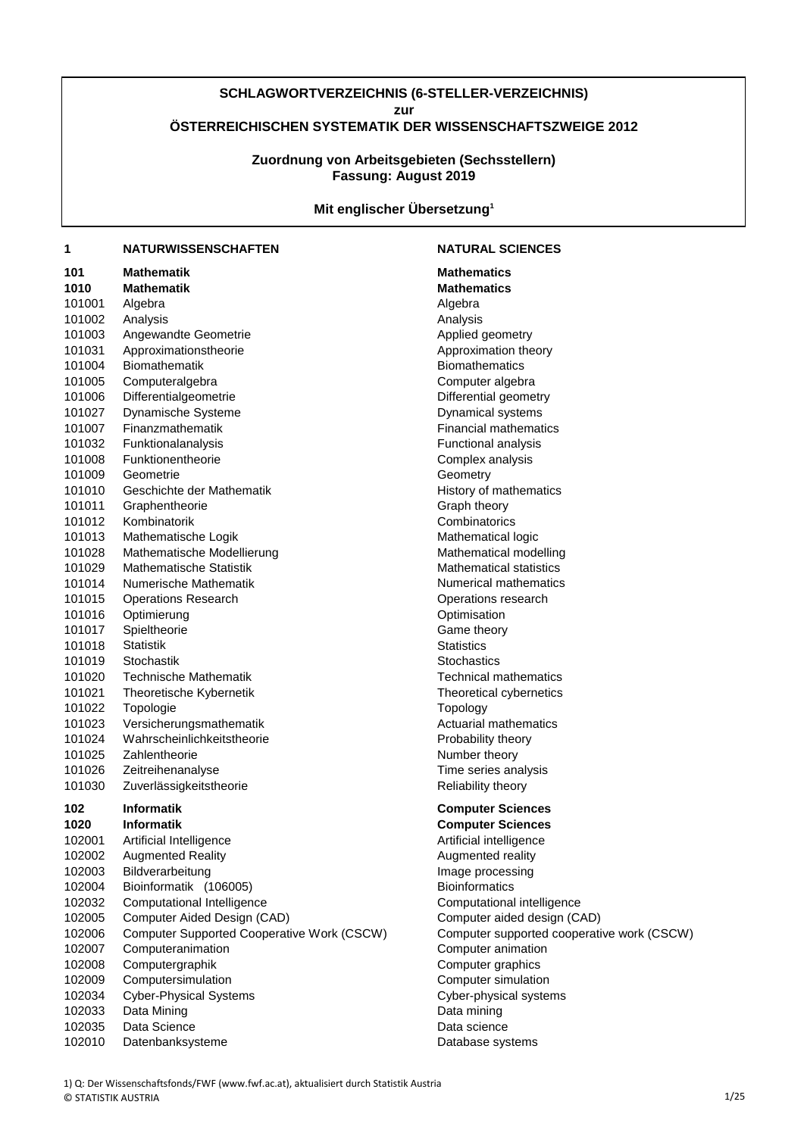## **SCHLAGWORTVERZEICHNIS (6-STELLER-VERZEICHNIS) zur ÖSTERREICHISCHEN SYSTEMATIK DER WISSENSCHAFTSZWEIGE 2012**

**Fassung: August 2019 Zuordnung von Arbeitsgebieten (Sechsstellern)**

**Mit englischer Übersetzung<sup>1</sup>**

#### **1 NATURWISSENSCHAFTEN NATURAL SCIENCES**

| 101  |        | <b>Mathematik</b>                                 | <b>Mathematics</b>    |
|------|--------|---------------------------------------------------|-----------------------|
| 1010 |        | <b>Mathematik</b>                                 | <b>Mathematics</b>    |
|      | 101001 | Algebra                                           | Algebra               |
|      | 101002 | Analysis                                          | Analysis              |
|      | 101003 | Angewandte Geometrie                              | Applied geom          |
|      | 101031 | Approximationstheorie                             | Approximation         |
|      | 101004 | <b>Biomathematik</b>                              | Biomathemati          |
|      | 101005 | Computeralgebra                                   | Computer alg          |
|      | 101006 | Differentialgeometrie                             | Differential ge       |
|      | 101027 | Dynamische Systeme                                | Dynamical sys         |
|      | 101007 | Finanzmathematik                                  | Financial matl        |
|      | 101032 | Funktionalanalysis                                | Functional an         |
|      | 101008 | Funktionentheorie                                 | Complex anal          |
|      | 101009 | Geometrie                                         | Geometry              |
|      | 101010 | Geschichte der Mathematik                         | History of mat        |
|      | 101011 | Graphentheorie                                    | Graph theory          |
|      | 101012 | Kombinatorik                                      | Combinatorics         |
|      | 101013 | Mathematische Logik                               | Mathematical          |
|      | 101028 | Mathematische Modellierung                        | Mathematical          |
|      | 101029 | Mathematische Statistik                           | Mathematical          |
|      | 101014 | Numerische Mathematik                             | Numerical ma          |
|      | 101015 | <b>Operations Research</b>                        | Operations re         |
|      | 101016 | Optimierung                                       | Optimisation          |
|      | 101017 | Spieltheorie                                      | Game theory           |
|      | 101018 | <b>Statistik</b>                                  | <b>Statistics</b>     |
|      | 101019 | Stochastik                                        | Stochastics           |
|      | 101020 | <b>Technische Mathematik</b>                      | Technical mat         |
|      | 101021 | Theoretische Kybernetik                           | Theoretical cy        |
|      | 101022 | Topologie                                         | Topology              |
|      | 101023 | Versicherungsmathematik                           | Actuarial math        |
|      | 101024 | Wahrscheinlichkeitstheorie                        | Probability the       |
|      | 101025 | Zahlentheorie                                     | Number theor          |
|      | 101026 | Zeitreihenanalyse                                 | Time series a         |
|      | 101030 | Zuverlässigkeitstheorie                           | Reliability the       |
|      |        |                                                   |                       |
| 102  |        | <b>Informatik</b>                                 | <b>Computer Sc</b>    |
| 1020 |        | <b>Informatik</b>                                 | <b>Computer Sc</b>    |
|      | 102001 | Artificial Intelligence                           | Artificial intelli    |
|      | 102002 | <b>Augmented Reality</b>                          | Augmented re          |
|      | 102003 | Bildverarbeitung                                  | Image proces          |
|      | 102004 | Bioinformatik (106005)                            | <b>Bioinformatics</b> |
|      | 102032 | Computational Intelligence                        | Computationa          |
|      | 102005 | Computer Aided Design (CAD)                       | Computer aid          |
|      | 102006 | <b>Computer Supported Cooperative Work (CSCW)</b> | Computer sup          |
|      | 102007 | Computeranimation                                 | Computer ani          |
|      | 102008 | Computergraphik                                   | Computer gra          |
|      | 102009 | Computersimulation                                | Computer sim          |
|      | 102034 | <b>Cyber-Physical Systems</b>                     | Cyber-physica         |
|      | 102033 | Data Mining                                       | Data mining           |
|      | 102035 | Data Science                                      | Data science          |
|      | 102010 | Datenbanksysteme                                  | Database sys          |

**Mathematics** Analysis Applied geometry Approximation theory **Biomathematics** Computer algebra Differential geometry Dynamical systems **Financial mathematics** Functional analysis Complex analysis **Geometry** History of mathematics Graph theory **Combinatorics** Mathematical logic Mathematical modelling **Mathematical statistics** Numerical mathematics Operations research **Optimisation** Game theory **Statistics** Stochastics Technical mathematics Theoretical cybernetics **Topology** Actuarial mathematics Probability theory Number theory Time series analysis Reliability theory

## **102 Informatik Computer Sciences**

**1020 Informatik Computer Sciences** Artificial intelligence Augmented reality Image processing **Bioinformatics** Computational intelligence Computer aided design (CAD) 102006 Computer Supported Cooperative Work (CSCW) Computer supported cooperative work (CSCW) Computer animation Computer graphics Computer simulation Cyber-physical systems Data mining Data science Database systems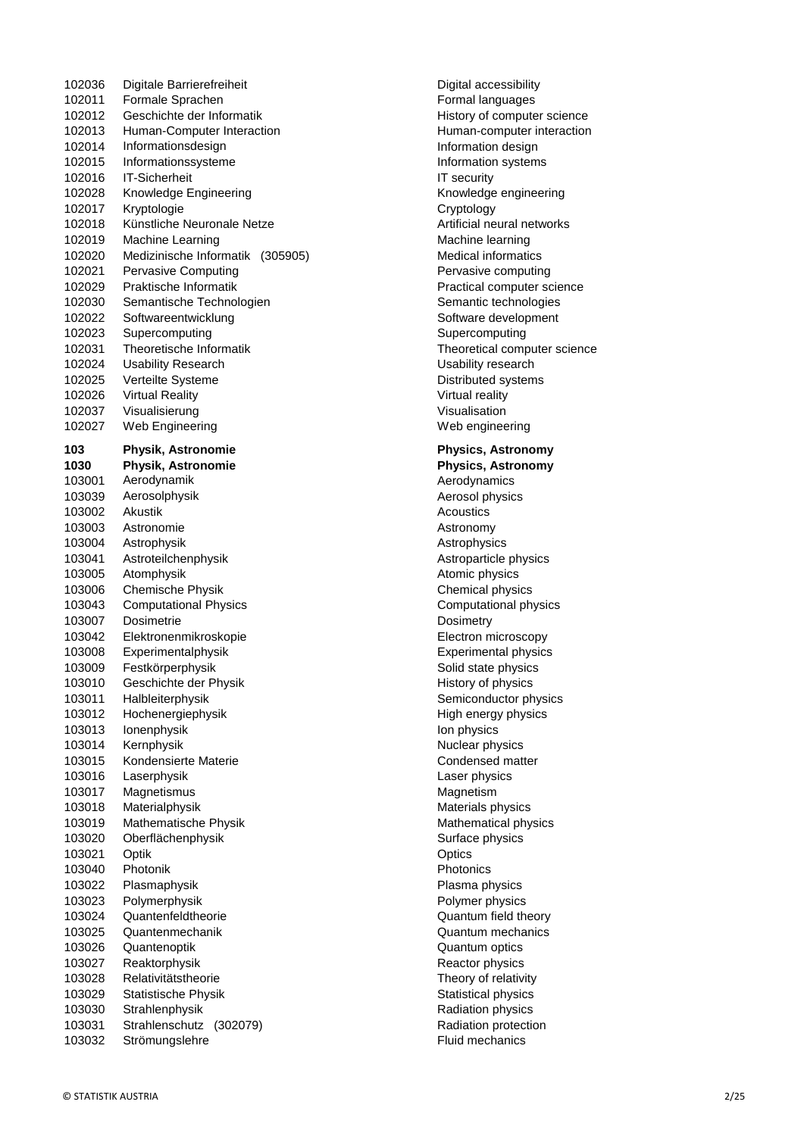102036 Digitale Barrierefreiheit Digital accessibility 102011 Formale Sprachen Formal languages 102012 Geschichte der Informatik History of computer science 102013 Human-Computer Interaction Human-computer interaction 102014 Informationsdesign Information design Information design 102015 Informationssysteme Information systems 102016 IT-Sicherheit **IT security** 102028 Knowledge Engineering Knowledge engineering Knowledge engineering 102017 Kryptologie Cryptology 102018 Künstliche Neuronale Netze **Artificial neural networks** Artificial neural networks 102019 Machine Learning Machine learning 102020 Medizinische Informatik (305905) Medical informatics 102021 Pervasive Computing **Pervasive Computing** Pervasive computing 102029 Praktische Informatik Practical computer science 102030 Semantische Technologien Semantic technologies 102022 Softwareentwicklung Software development 102023 Supercomputing Supercomputing Supercomputing Supercomputing 102031 Theoretische Informatik Theoretical computer science 102024 Usability Research Usability research 102025 Verteilte Systeme **Distributed systems** 102026 Virtual Reality **Victor Contract Contract Contract Virtual reality** Virtual reality 102037 Visualisierung von der Visualisation 102027 Web Engineering Web engineering **103 Physik, Astronomie Physics, Astronomy 1030 Physik, Astronomie Physics, Astronomy** 103001 Aerodynamik and a strong and a strong Aerodynamics 103039 Aerosolphysik and the state of the Aerosol physics and the Aerosol physics 103002 Akustik Acoustics 103003 Astronomie **Astronomy** Astronomy 103004 Astrophysik **Astrophysics** Astrophysics 103041 Astroteilchenphysik **Astroparticle physics** Astroparticle physics 103005 Atomphysik **Atomic physics** Atomic physics **Atomic physics** 103006 Chemische Physik Chemical physics 103043 Computational Physics Computational physics 103007 Dosimetrie **Dosimetrie** Dosimetry 103042 Elektronenmikroskopie Electron microscopy 103008 Experimentalphysik Experimental physics 103009 Festkörperphysik Solid state physics Solid state physics 103010 Geschichte der Physik History of physics 103011 Halbleiterphysik Semiconductor physics 103012 Hochenergiephysik High energy physics 103013 Ionenphysik Ion physics 103014 Kernphysik **Nuclear physics** Nuclear physics 103015 Kondensierte Materie Condensed matter 103016 Laserphysik Laser physics 103017 Magnetismus **Magnetismus** Magnetism 103018 Materialphysik metals physics and the Materials physics of the Materials physics 103019 Mathematische Physik Mathematical physics 103020 Oberflächenphysik Surface physics 103021 Optik Channels Controller Channels Controller Channels Controller Channels Controller Channels Controller 103040 Photonik **Photonics** 103022 Plasmaphysik Plasma physics 103023 Polymerphysik Polymer physics 103024 Quantenfeldtheorie Quantum field theory 103025 Quantenmechanik Quantum mechanics 103026 Quantenoptik Quantum optics 103027 Reaktorphysik Reactor physics 103028 Relativitätstheorie Theory of relativity 103029 Statistische Physik Statistical physics 103030 Strahlenphysik Radiation physics 103031 Strahlenschutz (302079) Radiation protection 103032 Strömungslehre Fluid mechanics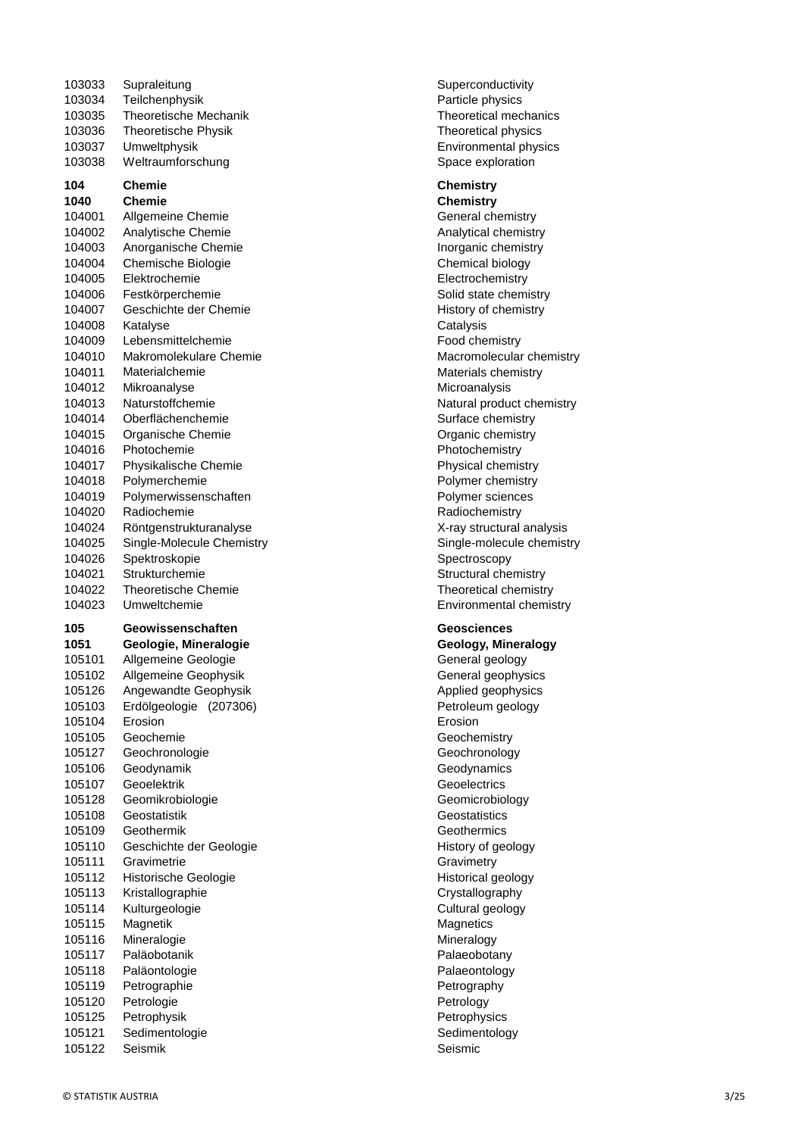| 103033                                                   | Supraleitung                                                                                              | Superco                                                     |
|----------------------------------------------------------|-----------------------------------------------------------------------------------------------------------|-------------------------------------------------------------|
| 103034                                                   | Teilchenphysik                                                                                            | Particle                                                    |
| 103035                                                   | Theoretische Mechanik                                                                                     | Theoret                                                     |
| 103036                                                   | <b>Theoretische Physik</b>                                                                                | Theoret                                                     |
| 103037                                                   | Umweltphysik                                                                                              | Environ                                                     |
| 103038                                                   | Weltraumforschung                                                                                         | Space e                                                     |
| 104                                                      | <b>Chemie</b>                                                                                             | <b>Chemis</b>                                               |
| 1040                                                     | <b>Chemie</b>                                                                                             | <b>Chemis</b>                                               |
| 104001                                                   | Allgemeine Chemie                                                                                         | Genera                                                      |
| 104002                                                   | Analytische Chemie                                                                                        | Analytic                                                    |
| 104003                                                   | Anorganische Chemie                                                                                       | Inorgan                                                     |
| 104004                                                   | Chemische Biologie                                                                                        | Chemic                                                      |
| 104005                                                   | Elektrochemie                                                                                             | Electrod                                                    |
| 104006                                                   | Festkörperchemie                                                                                          | Solid st                                                    |
| 104007                                                   | Geschichte der Chemie                                                                                     | History                                                     |
| 104008                                                   | Katalyse                                                                                                  | Catalys                                                     |
| 104009                                                   | Lebensmittelchemie                                                                                        | Food ch                                                     |
| 104010                                                   | Makromolekulare Chemie                                                                                    | Macrom                                                      |
| 104011                                                   | Materialchemie                                                                                            | Materia                                                     |
| 104012                                                   | Mikroanalyse                                                                                              | Microar                                                     |
| 104013                                                   | Naturstoffchemie                                                                                          | Natural                                                     |
| 104014                                                   | Oberflächenchemie                                                                                         | Surface                                                     |
| 104015                                                   | Organische Chemie                                                                                         | Organic                                                     |
| 104016                                                   | Photochemie                                                                                               | Photocl                                                     |
| 104017                                                   | Physikalische Chemie                                                                                      | Physica                                                     |
| 104018                                                   | Polymerchemie                                                                                             | Polyme                                                      |
| 104019                                                   | Polymerwissenschaften                                                                                     | Polyme                                                      |
| 104020                                                   | Radiochemie                                                                                               | Radiocl                                                     |
| 104024                                                   | Röntgenstrukturanalyse                                                                                    | X-ray st                                                    |
| 104025                                                   | Single-Molecule Chemistry                                                                                 | Single-r                                                    |
| 104026                                                   | Spektroskopie                                                                                             | Spectro                                                     |
| 104021                                                   | Strukturchemie                                                                                            | Structui                                                    |
| 104022                                                   | Theoretische Chemie                                                                                       | Theoret                                                     |
| 104023                                                   | Umweltchemie                                                                                              | Environ                                                     |
| 105                                                      | Geowissenschaften                                                                                         | Geosci                                                      |
| 1051                                                     | Geologie, Mineralogie                                                                                     | Geolog                                                      |
| 105101                                                   | Allgemeine Geologie                                                                                       | Genera                                                      |
| 105102                                                   | Allgemeine Geophysik                                                                                      | Genera                                                      |
| 105126<br>105103<br>105104<br>105105<br>105127<br>105106 | Angewandte Geophysik<br>Erdölgeologie<br>(207306)<br>Erosion<br>Geochemie<br>Geochronologie<br>Geodynamik | Applied<br>Petrole<br>Erosion<br>Geoche<br>Geochr<br>Geodyr |
| 105107                                                   | Geoelektrik                                                                                               | Geoele                                                      |
| 105128                                                   | Geomikrobiologie                                                                                          | Geomic                                                      |
| 105108                                                   | Geostatistik                                                                                              | Geosta                                                      |
| 105109                                                   | Geothermik                                                                                                | Geothe                                                      |
| 105110                                                   | Geschichte der Geologie                                                                                   | History                                                     |
| 105111                                                   | Gravimetrie                                                                                               | Gravim                                                      |
| 105112                                                   | Historische Geologie                                                                                      | Historic                                                    |
| 105113                                                   | Kristallographie                                                                                          | Crystall                                                    |
| 105114                                                   | Kulturgeologie                                                                                            | Cultural                                                    |
| 105115                                                   | Magnetik                                                                                                  | Magnet                                                      |
| 105116                                                   | Mineralogie                                                                                               | Mineral                                                     |
| 105117                                                   | Paläobotanik                                                                                              | Palaeol                                                     |
| 105118                                                   | Paläontologie                                                                                             | Palaeor                                                     |
| 105119                                                   | Petrographie                                                                                              | Petrogr                                                     |
| 105120                                                   | Petrologie                                                                                                | Petrolo                                                     |
| 105125                                                   | Petrophysik                                                                                               | Petroph                                                     |
| 105121                                                   | Sedimentologie                                                                                            | Sedime                                                      |

105122 Seismik Seismic

Superconductivity Particle physics Theoretical mechanics Theoretical physics Environmental physics Space exploration

## **104 Chemie Chemistry**

**1040 Chemie Chemistry** General chemistry Analytical chemistry Inorganic chemistry Chemical biology Electrochemistry Solid state chemistry History of chemistry Catalysis Food chemistry Macromolecular chemistry Materials chemistry Microanalysis Natural product chemistry Surface chemistry Organic chemistry Photochemistry Physical chemistry Polymer chemistry Polymer sciences Radiochemistry X-ray structural analysis 104025 Single-Molecule Chemistry Single-molecule chemistry Spectroscopy Structural chemistry Theoretical chemistry Environmental chemistry

## **105 Geowissenschaften Geosciences**

**1051 Geologie, Mineralogie Geology, Mineralogy** General geology General geophysics Applied geophysics Petroleum geology Geochemistry Geochronology Geodynamics Geoelectrics Geomicrobiology **Geostatistics Geothermics** History of geology **Gravimetry** Historical geology **Crystallography** Cultural geology Magnetics Mineralogy Palaeobotany Palaeontology Petrography Petrology Petrophysics Sedimentology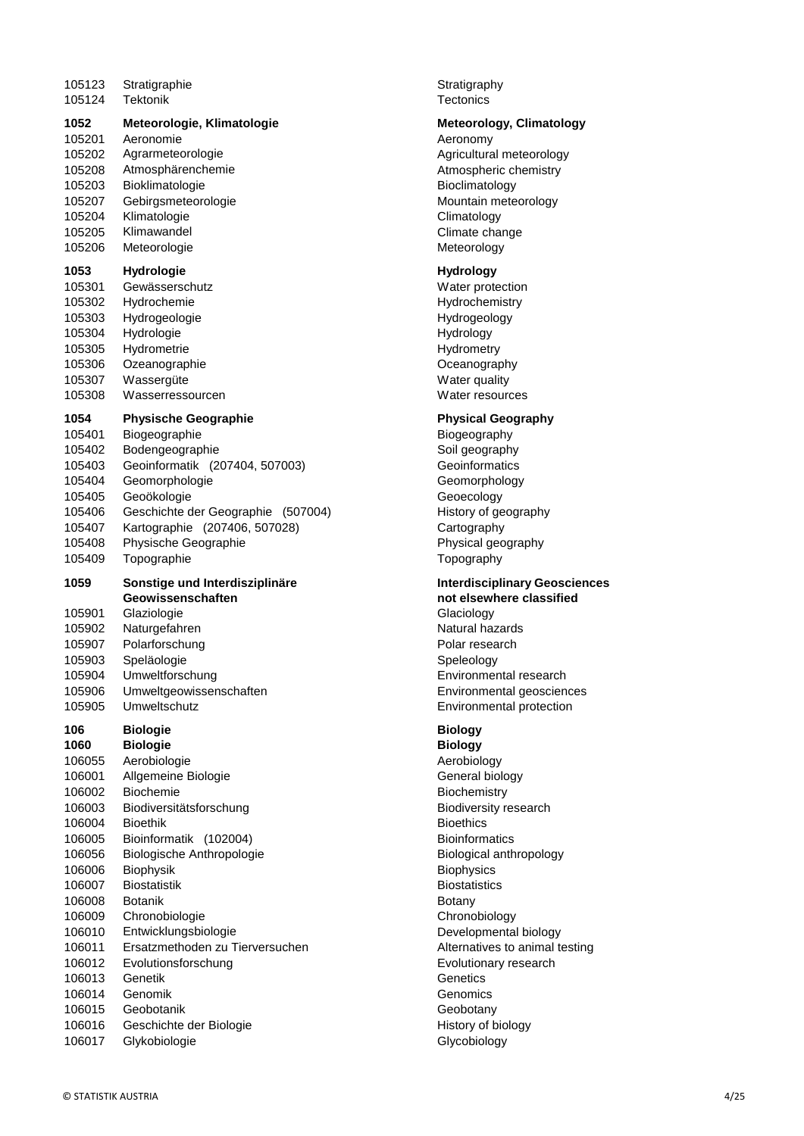| 105123                                                                                                                                                                                | Stratigraphie                                                                                                                                                                                                                                                                                                                                                                                    | Stratigraphy                                                                                                                                                                                                                                                                                                                                    |
|---------------------------------------------------------------------------------------------------------------------------------------------------------------------------------------|--------------------------------------------------------------------------------------------------------------------------------------------------------------------------------------------------------------------------------------------------------------------------------------------------------------------------------------------------------------------------------------------------|-------------------------------------------------------------------------------------------------------------------------------------------------------------------------------------------------------------------------------------------------------------------------------------------------------------------------------------------------|
| 105124                                                                                                                                                                                | <b>Tektonik</b>                                                                                                                                                                                                                                                                                                                                                                                  | <b>Tectonics</b>                                                                                                                                                                                                                                                                                                                                |
| 1052                                                                                                                                                                                  | Meteorologie, Klimatologie                                                                                                                                                                                                                                                                                                                                                                       | Meteorolog                                                                                                                                                                                                                                                                                                                                      |
| 105201                                                                                                                                                                                | Aeronomie                                                                                                                                                                                                                                                                                                                                                                                        | Aeronomy                                                                                                                                                                                                                                                                                                                                        |
| 105202                                                                                                                                                                                | Agrarmeteorologie                                                                                                                                                                                                                                                                                                                                                                                | Agricultural                                                                                                                                                                                                                                                                                                                                    |
| 105208                                                                                                                                                                                | Atmosphärenchemie                                                                                                                                                                                                                                                                                                                                                                                | Atmospheric                                                                                                                                                                                                                                                                                                                                     |
| 105203                                                                                                                                                                                | Bioklimatologie                                                                                                                                                                                                                                                                                                                                                                                  | Bioclimatolo                                                                                                                                                                                                                                                                                                                                    |
| 105207                                                                                                                                                                                | Gebirgsmeteorologie                                                                                                                                                                                                                                                                                                                                                                              | Mountain me                                                                                                                                                                                                                                                                                                                                     |
| 105204                                                                                                                                                                                | Klimatologie                                                                                                                                                                                                                                                                                                                                                                                     | Climatology                                                                                                                                                                                                                                                                                                                                     |
| 105205                                                                                                                                                                                | Klimawandel                                                                                                                                                                                                                                                                                                                                                                                      | Climate chai                                                                                                                                                                                                                                                                                                                                    |
| 105206                                                                                                                                                                                | Meteorologie                                                                                                                                                                                                                                                                                                                                                                                     | Meteorology                                                                                                                                                                                                                                                                                                                                     |
| 1053                                                                                                                                                                                  | Hydrologie                                                                                                                                                                                                                                                                                                                                                                                       | <b>Hydrology</b>                                                                                                                                                                                                                                                                                                                                |
| 105301                                                                                                                                                                                | Gewässerschutz                                                                                                                                                                                                                                                                                                                                                                                   | Water prote                                                                                                                                                                                                                                                                                                                                     |
| 105302                                                                                                                                                                                | Hydrochemie                                                                                                                                                                                                                                                                                                                                                                                      | Hydrochemi:                                                                                                                                                                                                                                                                                                                                     |
| 105303                                                                                                                                                                                | Hydrogeologie                                                                                                                                                                                                                                                                                                                                                                                    | Hydrogeolog                                                                                                                                                                                                                                                                                                                                     |
| 105304                                                                                                                                                                                | Hydrologie                                                                                                                                                                                                                                                                                                                                                                                       | Hydrology                                                                                                                                                                                                                                                                                                                                       |
| 105305                                                                                                                                                                                | Hydrometrie                                                                                                                                                                                                                                                                                                                                                                                      | Hydrometry                                                                                                                                                                                                                                                                                                                                      |
| 105306                                                                                                                                                                                | Ozeanographie                                                                                                                                                                                                                                                                                                                                                                                    | Oceanograp                                                                                                                                                                                                                                                                                                                                      |
| 105307                                                                                                                                                                                | Wassergüte                                                                                                                                                                                                                                                                                                                                                                                       | Water qualit                                                                                                                                                                                                                                                                                                                                    |
| 105308                                                                                                                                                                                | Wasserressourcen                                                                                                                                                                                                                                                                                                                                                                                 | Water resou                                                                                                                                                                                                                                                                                                                                     |
| 1054                                                                                                                                                                                  | <b>Physische Geographie</b>                                                                                                                                                                                                                                                                                                                                                                      | <b>Physical Ge</b>                                                                                                                                                                                                                                                                                                                              |
| 105401                                                                                                                                                                                | Biogeographie                                                                                                                                                                                                                                                                                                                                                                                    | Biogeograph                                                                                                                                                                                                                                                                                                                                     |
| 105402                                                                                                                                                                                | Bodengeographie                                                                                                                                                                                                                                                                                                                                                                                  | Soil geograp                                                                                                                                                                                                                                                                                                                                    |
| 105403                                                                                                                                                                                | Geoinformatik (207404, 507003)                                                                                                                                                                                                                                                                                                                                                                   | Geoinformat                                                                                                                                                                                                                                                                                                                                     |
| 105404                                                                                                                                                                                | Geomorphologie                                                                                                                                                                                                                                                                                                                                                                                   | Geomorphol                                                                                                                                                                                                                                                                                                                                      |
| 105405                                                                                                                                                                                | Geoökologie                                                                                                                                                                                                                                                                                                                                                                                      | Geoecology                                                                                                                                                                                                                                                                                                                                      |
| 105406                                                                                                                                                                                | Geschichte der Geographie (507004)                                                                                                                                                                                                                                                                                                                                                               | History of ge                                                                                                                                                                                                                                                                                                                                   |
| 105407                                                                                                                                                                                | Kartographie (207406, 507028)                                                                                                                                                                                                                                                                                                                                                                    | Cartography                                                                                                                                                                                                                                                                                                                                     |
| 105408                                                                                                                                                                                | Physische Geographie                                                                                                                                                                                                                                                                                                                                                                             | Physical geo                                                                                                                                                                                                                                                                                                                                    |
| 105409                                                                                                                                                                                | Topographie                                                                                                                                                                                                                                                                                                                                                                                      | Topography                                                                                                                                                                                                                                                                                                                                      |
| 1059<br>105901<br>105902<br>105907<br>105903<br>105904<br>105906<br>105905                                                                                                            | Sonstige und Interdisziplinäre<br>Geowissenschaften<br>Glaziologie<br>Naturgefahren<br>Polarforschung<br>Speläologie<br>Umweltforschung<br>Umweltgeowissenschaften<br>Umweltschutz                                                                                                                                                                                                               | Interdiscipli<br>not elsewhe<br>Glaciology<br>Natural haza<br>Polar resear<br>Speleology<br>Environment<br>Environment<br>Environment                                                                                                                                                                                                           |
| 106<br>1060<br>106055<br>106001<br>106002<br>106003<br>106004<br>106005<br>106056<br>106006<br>106007<br>106008<br>106009<br>106010<br>106011<br>106012<br>106013<br>106014<br>106015 | <b>Biologie</b><br><b>Biologie</b><br>Aerobiologie<br>Allgemeine Biologie<br>Biochemie<br>Biodiversitätsforschung<br><b>Bioethik</b><br>Bioinformatik (102004)<br>Biologische Anthropologie<br><b>Biophysik</b><br><b>Biostatistik</b><br><b>Botanik</b><br>Chronobiologie<br>Entwicklungsbiologie<br>Ersatzmethoden zu Tierversuchen<br>Evolutionsforschung<br>Genetik<br>Genomik<br>Geobotanik | <b>Biology</b><br><b>Biology</b><br>Aerobiology<br>General biol<br>Biochemistry<br>Biodiversity<br><b>Bioethics</b><br><b>Bioinformation</b><br>Biological ar<br><b>Biophysics</b><br><b>Biostatistics</b><br><b>Botany</b><br>Chronobiolo<br>Developmer<br>Alternatives<br>Evolutionary<br>Genetics<br>Genomics<br>Geobotany<br>History of bio |
| 106016<br>106017                                                                                                                                                                      | Geschichte der Biologie<br>Glykobiologie                                                                                                                                                                                                                                                                                                                                                         | <b>Glycobiology</b>                                                                                                                                                                                                                                                                                                                             |

#### **1052 Meteorologie, Klimatologie Meteorology, Climatology**

Aeronomy Agricultural meteorology Atmospheric chemistry **Bioclimatology** Mountain meteorology Climatology Climate change Meteorology

#### **1053 Hydrologie Hydrology**

Water protection Hydrochemistry Hydrogeology **Hydrology Hydrometry** Oceanography Water quality Water resources

#### **Physical Geography**

**Biogeography** Soil geography Geoinformatics Geomorphology Geoecology 04) History of geography Cartography Physical geography **Topography** 

### **Interdisciplinary Geosciences not elsewhere classified** Glaciology

Natural hazards Polar research Speleology Environmental research Environmental geosciences Environmental protection

## **106 Biologie Biology**

**1060 Biologie Biology** Aerobiology General biology **Biochemistry** Biodiversity research **Bioinformatics** Biological anthropology **Biophysics Biostatistics** Chronobiology Developmental biology Alternatives to animal testing Evolutionary research **Genetics** Genomics Geobotany History of biology Glycobiology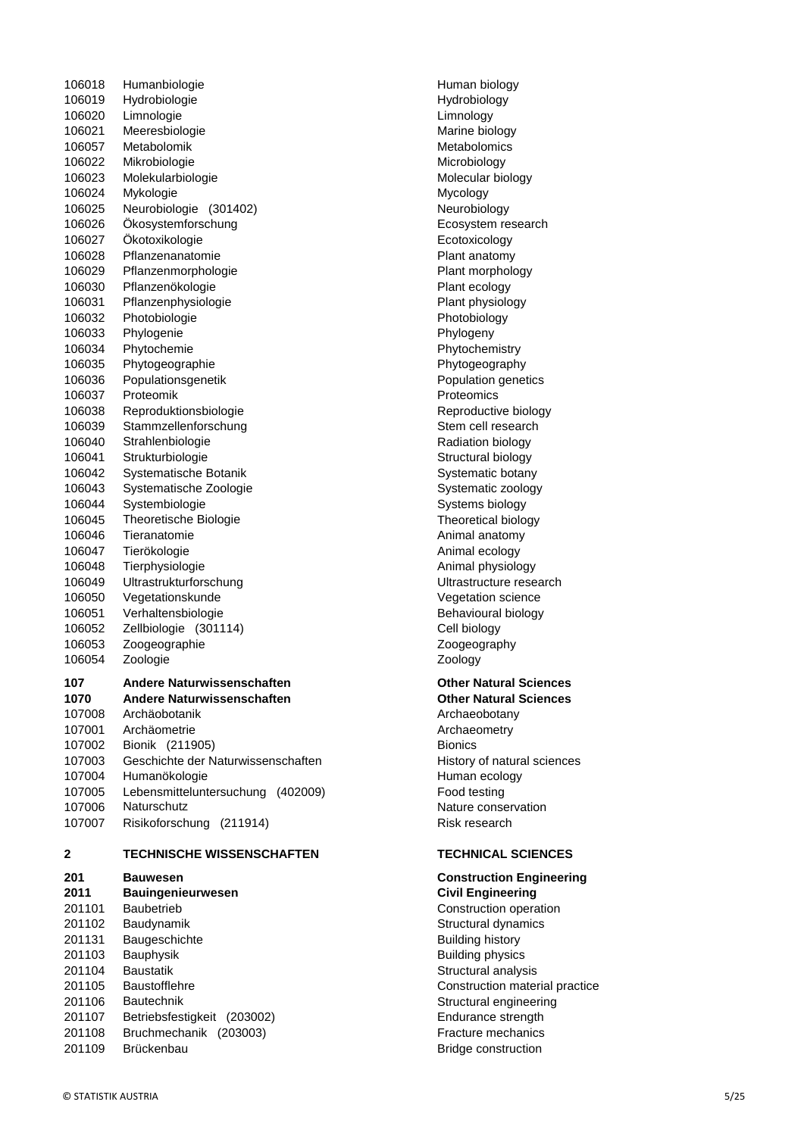106018 Humanbiologie **Human biology** Human biology 106019 Hydrobiologie entry and the Hydrobiology 106020 Limnologie Limnology 106021 Meeresbiologie metalson and a marine biology 106057 Metabolomik Metabolomics Metabolomics 106022 Mikrobiologie Microbiology 106023 Molekularbiologie Molecular biology 106024 Mykologie Mycology Mycology 106025 Neurobiologie (301402) 2001 106025 Neurobiology 106026 Ökosystemforschung Ecosystem research 106027 Ökotoxikologie Ecotoxicology 106028 Pflanzenanatomie Plant anatomy 106029 Pflanzenmorphologie **Plant morphology** Plant morphology 106030 Pflanzenökologie **Plant** ecology 106031 Pflanzenphysiologie **Plant physiology** Plant physiology 106032 Photobiologie Photobiology 106033 Phylogenie **Phylogenie** Phylogeny 106034 Phytochemie **Phytochemistry** Phytochemistry 106035 Phytogeographie **Phytogeography** 106036 Populationsgenetik **Population genetics** Population genetics 106037 Proteomik **Protection** Proteomics **Protection** Proteomics 106038 Reproduktionsbiologie Reproductive biology 106039 Stammzellenforschung Stem cell research 106040 Strahlenbiologie Radiation biology 106041 Strukturbiologie Structural biology Structural biology 106042 Systematische Botanik Systematic botany Systematic botany 106043 Systematische Zoologie Systematic zoology Systematic zoology 106044 Systembiologie Systems biology Systems biology 106045 Theoretische Biologie Theoretical biology 106046 Tieranatomie **Animal anatomy** Animal anatomy 106047 Tierökologie **Animal ecology** Animal ecology 106048 Tierphysiologie Animal physiology 106049 Ultrastrukturforschung Ultrastructure research 106050 Vegetationskunde Vegetation science 106051 Verhaltensbiologie Behavioural biology 106052 Zellbiologie (301114) Cell biology 106053 Zoogeographie Zoogeography 106054 Zoologie Zoology **107 Andere Naturwissenschaften Other Natural Sciences 1070 Andere Naturwissenschaften Other Natural Sciences** 107008 Archäobotanik Archaeobotany 107001 Archäometrie **Archaeometry** Archaeometry 107002 Bionik (211905) Bionics 107003 Geschichte der Naturwissenschaften History of natural sciences 107004 Humanökologie **Human ecology** Human ecology 107005 Lebensmitteluntersuchung (402009) Food testing 107006 Naturschutz Nature conservation 107007 Risikoforschung (211914) Risk research **2 TECHNISCHE WISSENSCHAFTEN TECHNICAL SCIENCES 201 Bauwesen Construction Engineering 2011 Bauingenieurwesen Civil Engineering**

201101 Baubetrieb Construction operation 201102 Baudynamik Structural dynamics and the Structural dynamics 201131 Baugeschichte Building history 201103 Bauphysik Building physics 201104 Baustatik Structural analysis and the Baustatic Structural analysis structural analysis 201105 Baustofflehre Construction material practice 201106 Bautechnik Structural engineering 201107 Betriebsfestigkeit (203002) Endurance strength 201108 Bruchmechanik (203003) Fracture mechanics 201109 Brückenbau Bridge construction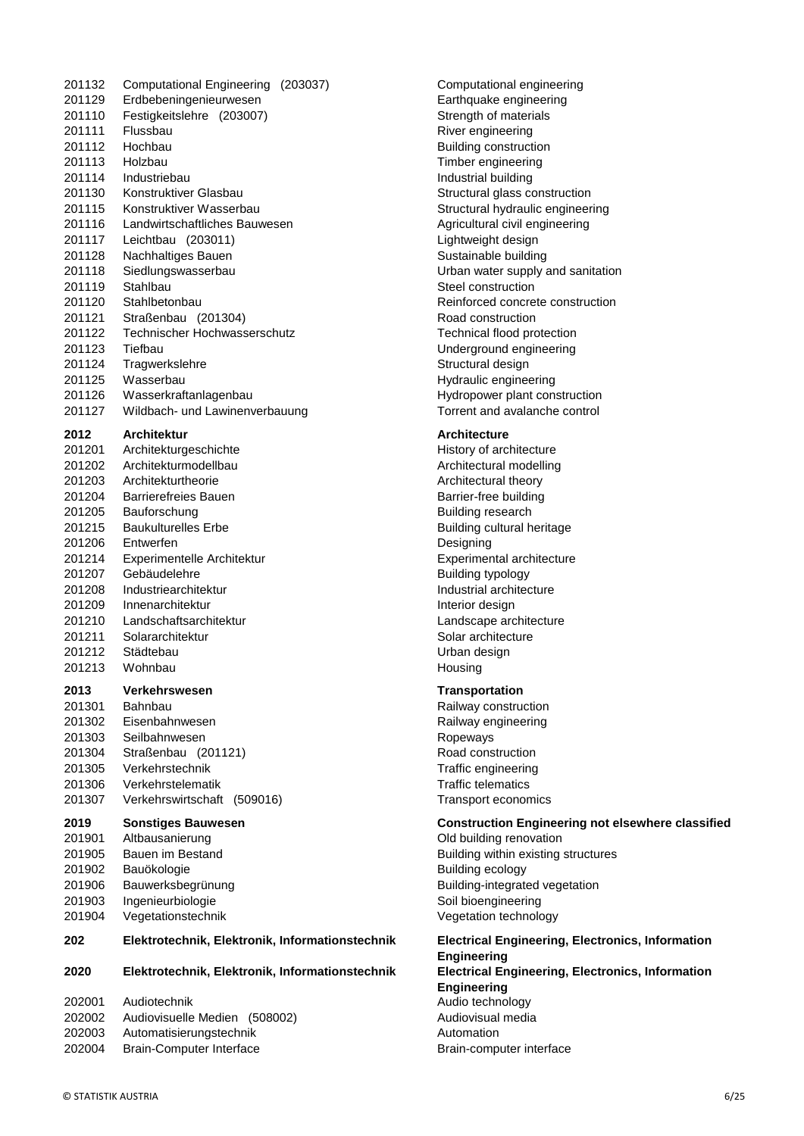|                  | Flussbau                                                   |
|------------------|------------------------------------------------------------|
| 201112           | Hochbau                                                    |
| 201113           | Holzbau                                                    |
| 201114           | Industriebau                                               |
| 201130           | Konstruktiver Glasbau                                      |
| 201115           | Konstruktiver Wasserbau                                    |
| 201116           | Landwirtschaftliches Bauwesen                              |
| 201117           | Leichtbau (203011)                                         |
| 201128           | Nachhaltiges Bauen                                         |
| 201118           | Siedlungswasserbau                                         |
| 201119           | Stahlbau                                                   |
| 201120           | Stahlbetonbau                                              |
| 201121           | Straßenbau (201304)                                        |
| 201122           | <b>Technischer Hochwasserschutz</b>                        |
| 201123           | Tiefbau                                                    |
| 201124           | Tragwerkslehre                                             |
| 201125           | Wasserbau                                                  |
| 201126           | Wasserkraftanlagenbau                                      |
| 201127           | Wildbach- und Lawinenverbauung                             |
|                  |                                                            |
| 2012             | <b>Architektur</b>                                         |
| 201201           | Architekturgeschichte                                      |
| 201202           | Architekturmodellbau                                       |
| 201203           | Architekturtheorie                                         |
| 201204           | <b>Barrierefreies Bauen</b>                                |
| 201205           | Bauforschung                                               |
| 201215           | <b>Baukulturelles Erbe</b>                                 |
| 201206           | Entwerfen                                                  |
| 201214           | Experimentelle Architektur                                 |
| 201207           | Gebäudelehre                                               |
| 201208           | Industriearchitektur                                       |
| 201209           | Innenarchitektur                                           |
|                  | Landschaftsarchitektur                                     |
| 201210           |                                                            |
| 201211           | Solararchitektur                                           |
| 201212           | Städtebau                                                  |
|                  | Wohnbau                                                    |
| 201213           |                                                            |
| 2013             | Verkehrswesen                                              |
| 201301           | Bahnbau                                                    |
| 201302           | Eisenbahnwesen                                             |
| 201303           | Seilbahnwesen                                              |
| 201304           | Straßenbau (201121)                                        |
| 201305           | Verkehrstechnik                                            |
| 201306           | Verkehrstelematik                                          |
| 201307           | Verkehrswirtschaft<br>(509016)                             |
|                  |                                                            |
| 2019             | <b>Sonstiges Bauwesen</b>                                  |
| 201901           | Altbausanierung                                            |
| 201905           | Bauen im Bestand                                           |
| 201902           | Bauökologie                                                |
| 201906           | Bauwerksbegrünung                                          |
| 201903           | Ingenieurbiologie                                          |
| 201904           | Vegetationstechnik                                         |
| 202              | Elektrotechnik, Elektronik, Informa                        |
| 2020             | Elektrotechnik, Elektronik, Informa                        |
|                  |                                                            |
| 202001           | Audiotechnik                                               |
| 202002           | Audiovisuelle Medien<br>(508002)                           |
| 202003<br>202004 | Automatisierungstechnik<br><b>Brain-Computer Interface</b> |

201132 Computational Engineering (203037) Computational engineering 201129 Erdbebeningenieurwesen Earthquake engineering 201110 Festigkeitslehre (203007) Strength of materials River engineering Building construction Timber engineering Industrial building Structural glass construction Structural hydraulic engineering Agricultural civil engineering Lightweight design Sustainable building Urban water supply and sanitation Steel construction Reinforced concrete construction Road construction Technical flood protection Underground engineering Structural design Hydraulic engineering Hydropower plant construction Torrent and avalanche control

#### **2012 Architektur Architecture**

History of architecture Architectural modelling Architectural theory Barrier-free building Building research Building cultural heritage Designing Experimental architecture Building typology Industrial architecture Interior design Landscape architecture Solar architecture Urban design Housing

#### **2013 Verkehrswesen Transportation**

Railway construction Railway engineering **Ropeways** Road construction Traffic engineering **Traffic telematics** Transport economics

#### **2019** Construction Engineering not elsewhere classified

Old building renovation Building within existing structures Building ecology Building-integrated vegetation Soil bioengineering Vegetation technology

**202 Elektrotechnik, Elektronik, Informationstechnik Electrical Engineering, Electronics, Information Engineering 2020 Electrical Engineering, Electronics, Information Engineering** Audio technology Audiovisual media **Automation** Brain-computer interface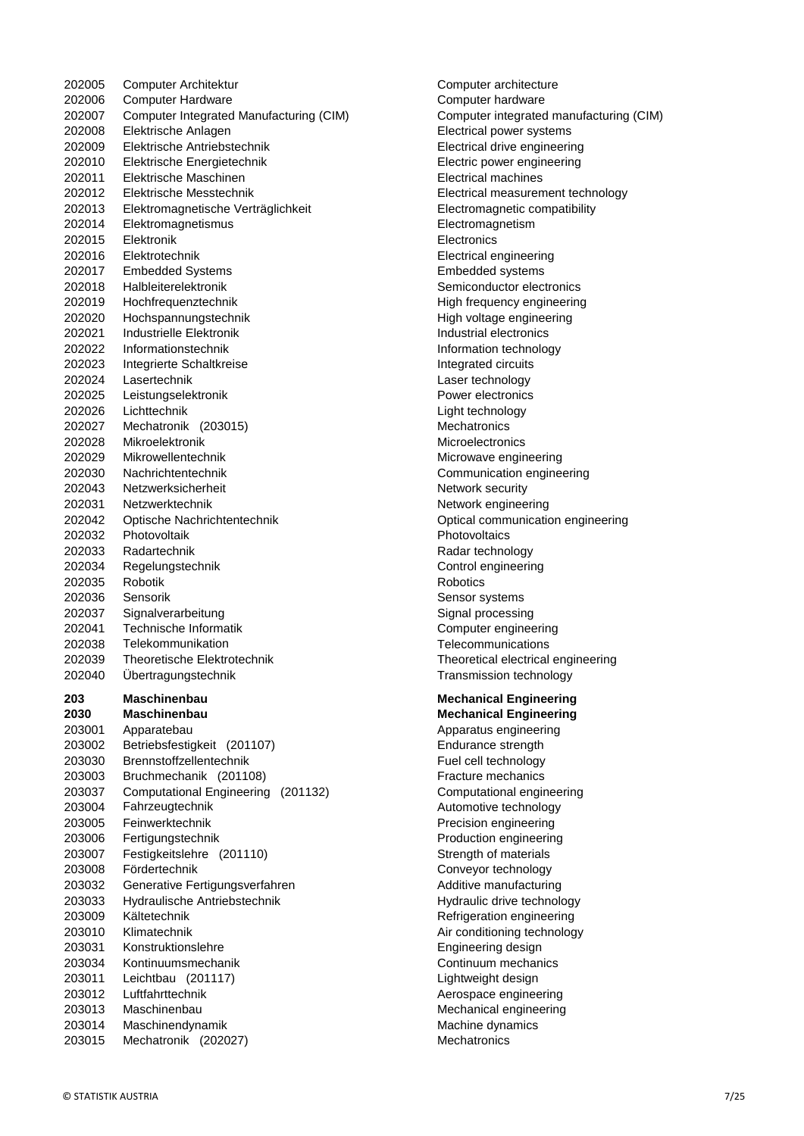202006 Computer Hardware Computer hardware Computer Integrated Manufacturing (CIM) Computer integrated manufacturing (CIM) Elektrische Anlagen Electrical power systems Elektrische Antriebstechnik Electrical drive engineering Elektrische Energietechnik Electric power engineering Elektrische Maschinen Electrical machines Elektrische Messtechnik Electrical measurement technology Elektromagnetische Verträglichkeit Electromagnetic compatibility Elektromagnetismus Electromagnetism Elektronik Electronics Elektrotechnik Electrical engineering Embedded Systems Embedded systems Halbleiterelektronik Semiconductor electronics Hochfrequenztechnik High frequency engineering Hochspannungstechnik High voltage engineering Industrielle Elektronik Industrial electronics Informationstechnik Information technology 202023 Integrierte Schaltkreise Integrated circuits Lasertechnik Laser technology Leistungselektronik Power electronics 202026 Lichttechnik Light technology 202027 Mechatronik (203015) Mechatronics 202028 Mikroelektronik Microelectronics Microelectronics Mikrowellentechnik Microwave engineering Nachrichtentechnik Communication engineering 202043 Netzwerksicherheit Network security 202031 Netzwerktechnik Network engineering Optische Nachrichtentechnik Optical communication engineering Photovoltaik Photovoltaics 202033 Radartechnik Radar technology Regelungstechnik Control engineering 202035 Robotik Robotics 202036 Sensorik Sensor systems 202037 Signalverarbeitung Signal processing Technische Informatik Computer engineering Telekommunikation Telecommunications Theoretische Elektrotechnik Theoretical electrical engineering Übertragungstechnik Transmission technology **Maschinenbau Mechanical Engineering Maschinenbau Mechanical Engineering** 203001 Apparatebau Apparatus engineering Betriebsfestigkeit (201107) Endurance strength Brennstoffzellentechnik Fuel cell technology Bruchmechanik (201108) Fracture mechanics Computational Engineering (201132) Computational engineering 203004 Fahrzeugtechnik Automotive technology Fahrzeugtechnik Automotive technology Feinwerktechnik Precision engineering 203006 Fertigungstechnik **Production engineering**  Festigkeitslehre (201110) Strength of materials Fördertechnik Conveyor technology 203032 Generative Fertigungsverfahren Additive manufacturing Hydraulische Antriebstechnik Hydraulic drive technology Kältetechnik Refrigeration engineering 203010 Klimatechnik Air conditioning technology Konstruktionslehre Engineering design Kontinuumsmechanik Continuum mechanics Leichtbau (201117) Lightweight design 203012 Luftfahrttechnik Aerospace engineering 203013 Maschinenbau Mechanical engineering Maschinendynamik Machine dynamics Mechatronik (202027) Mechatronics

202005 Computer Architektur Computer architecture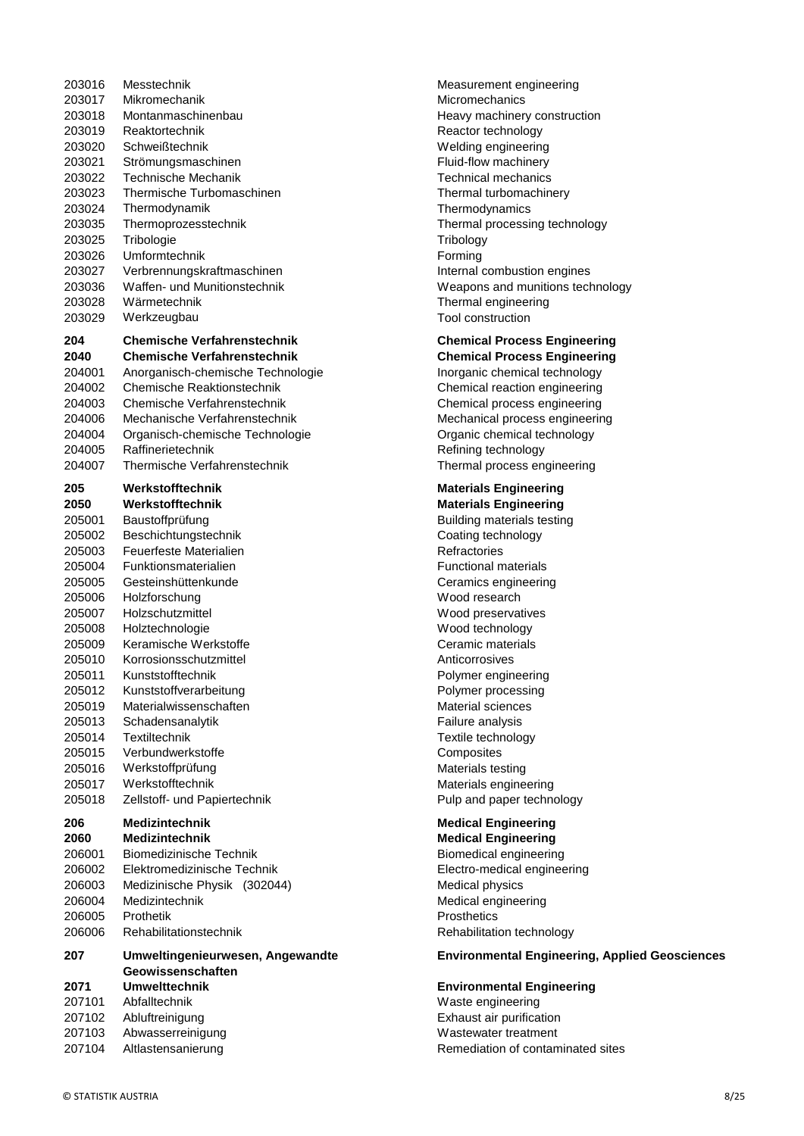| 203016 | Messtechnik                                                |
|--------|------------------------------------------------------------|
| 203017 | Mikromechanik                                              |
| 203018 | Montanmaschinenbau                                         |
| 203019 | Reaktortechnik                                             |
| 203020 | Schweißtechnik                                             |
| 203021 | Strömungsmaschinen                                         |
| 203022 | Technische Mechanik                                        |
| 203023 | Thermische Turbomaschinen                                  |
| 203024 | Thermodynamik                                              |
| 203035 | Thermoprozesstechnik                                       |
| 203025 | Tribologie                                                 |
| 203026 | Umformtechnik                                              |
| 203027 |                                                            |
|        | Verbrennungskraftmaschinen<br>Waffen- und Munitionstechnik |
| 203036 |                                                            |
| 203028 | Wärmetechnik                                               |
| 203029 | Werkzeugbau                                                |
| 204    | <b>Chemische Verfahrenstechnik</b>                         |
| 2040   | <b>Chemische Verfahrenstechnik</b>                         |
| 204001 | Anorganisch-chemische Technologie                          |
| 204002 | Chemische Reaktionstechnik                                 |
| 204003 | Chemische Verfahrenstechnik                                |
| 204006 | Mechanische Verfahrenstechnik                              |
| 204004 | Organisch-chemische Technologie                            |
|        | Raffinerietechnik                                          |
| 204005 |                                                            |
| 204007 | Thermische Verfahrenstechnik                               |
| 205    | Werkstofftechnik                                           |
| 2050   | Werkstofftechnik                                           |
| 205001 | Baustoffprüfung                                            |
| 205002 | Beschichtungstechnik                                       |
| 205003 | Feuerfeste Materialien                                     |
| 205004 | Funktionsmaterialien                                       |
| 205005 | Gesteinshüttenkunde                                        |
| 205006 | Holzforschung                                              |
| 205007 | Holzschutzmittel                                           |
| 205008 | Holztechnologie                                            |
| 205009 | Keramische Werkstoffe                                      |
| 205010 | Korrosionsschutzmittel                                     |
| 205011 | Kunststofftechnik                                          |
| 205012 |                                                            |
|        |                                                            |
|        | Kunststoffverarbeitung                                     |
| 205019 | Materialwissenschaften                                     |
| 205013 | Schadensanalytik                                           |
| 205014 | Textiltechnik                                              |
| 205015 | Verbundwerkstoffe                                          |
| 205016 | Werkstoffprüfung                                           |
| 205017 | Werkstofftechnik                                           |
| 205018 | Zellstoff- und Papiertechnik                               |
| 206    | <b>Medizintechnik</b>                                      |
| 2060   | <b>Medizintechnik</b>                                      |
| 206001 | <b>Biomedizinische Technik</b>                             |
|        |                                                            |
| 206002 | Elektromedizinische Technik                                |
| 206003 | Medizinische Physik (302044)                               |
| 206004 | Medizintechnik                                             |
| 206005 | Prothetik                                                  |
| 206006 | Rehabilitationstechnik                                     |
| 207    | Umweltingenieurwesen, Angewandte                           |
|        | Geowissenschaften                                          |
| 2071   | <b>Umwelttechnik</b>                                       |
| 207101 | Abfalltechnik                                              |
| 207102 | Abluftreinigung                                            |
| 207103 | Abwasserreinigung                                          |

Measurement engineering **Micromechanics** Heavy machinery construction Reactor technology Welding engineering Fluid-flow machinery Technical mechanics Thermal turbomachinery **Thermodynamics** Thermal processing technology **Tribology** Forming Internal combustion engines Weapons and munitions technology Thermal engineering Tool construction

#### **204 Chemische Verfahrenstechnik Chemical Process Engineering 2040 Chemische Verfahrenstechnik Chemical Process Engineering**

204001 Anorganisch-chemische Technologie Inorganic chemical technology Chemical reaction engineering Chemical process engineering Mechanical process engineering Organic chemical technology Refining technology Thermal process engineering

#### **205 Werkstofftechnik Materials Engineering 2050 Werkstofftechnik Materials Engineering**

Building materials testing Coating technology **Refractories** Functional materials Ceramics engineering Wood research Wood preservatives Wood technology Ceramic materials **Anticorrosives** Polymer engineering Polymer processing Material sciences Failure analysis Textile technology **Composites** Materials testing Materials engineering Pulp and paper technology

## **Medical Engineering**

**Medical Engineering** Biomedical engineering Electro-medical engineering Medical physics Medical engineering Prosthetics Rehabilitation technology

#### **Environmental Engineering, Applied Geosciences**

#### *<u>Environmental Engineering</u>*

Waste engineering Exhaust air purification Wastewater treatment g and alternative Remediation of contaminated sites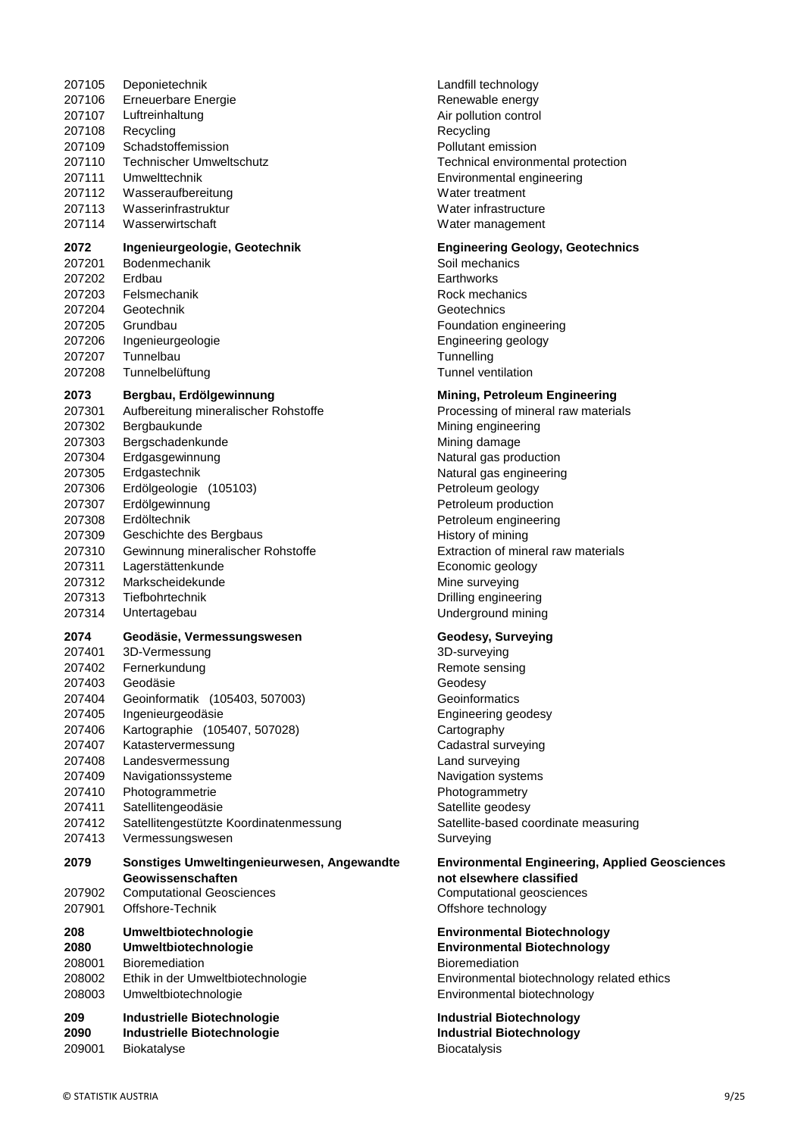| 207106                   | <b>Erneuerbare Energie</b>                                                                                              | Renewable                                                      |
|--------------------------|-------------------------------------------------------------------------------------------------------------------------|----------------------------------------------------------------|
| 207107                   | Luftreinhaltung                                                                                                         | Air pollution                                                  |
| 207108                   | Recycling                                                                                                               | Recycling                                                      |
| 207109                   | Schadstoffemission                                                                                                      | Pollutant em                                                   |
| 207110                   | <b>Technischer Umweltschutz</b>                                                                                         | Technical er                                                   |
| 207111                   | Umwelttechnik                                                                                                           | Environmen                                                     |
| 207112                   | Wasseraufbereitung                                                                                                      | Water treatr                                                   |
| 207113                   | Wasserinfrastruktur                                                                                                     | Water infras                                                   |
| 207114                   | Wasserwirtschaft                                                                                                        | Water mana                                                     |
| 2072                     | Ingenieurgeologie, Geotechnik                                                                                           | <b>Engineering</b>                                             |
| 207201                   | Bodenmechanik                                                                                                           | Soil mechar                                                    |
| 207202                   | Erdbau                                                                                                                  | Earthworks                                                     |
| 207203                   | Felsmechanik                                                                                                            | Rock mecha                                                     |
| 207204                   | Geotechnik                                                                                                              | Geotechnics                                                    |
| 207205                   | Grundbau                                                                                                                | Foundation                                                     |
| 207206                   | Ingenieurgeologie                                                                                                       | Engineering                                                    |
| 207207                   | Tunnelbau                                                                                                               | Tunnelling                                                     |
| 207208                   | Tunnelbelüftung                                                                                                         | Tunnel venti                                                   |
| 2073                     | Bergbau, Erdölgewinnung                                                                                                 | <b>Mining, Pet</b>                                             |
| 207301                   | Aufbereitung mineralischer Rohstoffe                                                                                    | Processing                                                     |
| 207302                   | Bergbaukunde                                                                                                            | Mining engir                                                   |
| 207303                   | Bergschadenkunde                                                                                                        | Mining dama                                                    |
| 207304                   | Erdgasgewinnung                                                                                                         | Natural gas                                                    |
| 207305                   | Erdgastechnik                                                                                                           | Natural gas                                                    |
| 207306                   | Erdölgeologie (105103)                                                                                                  | Petroleum g                                                    |
| 207307                   | Erdölgewinnung                                                                                                          | Petroleum p                                                    |
| 207308                   | Erdöltechnik                                                                                                            | Petroleum e                                                    |
| 207309                   | Geschichte des Bergbaus                                                                                                 | History of m                                                   |
| 207310                   | Gewinnung mineralischer Rohstoffe                                                                                       | Extraction of                                                  |
| 207311                   | Lagerstättenkunde                                                                                                       | Economic go                                                    |
| 207312                   | Markscheidekunde                                                                                                        | Mine survey                                                    |
| 207313                   | Tiefbohrtechnik                                                                                                         | Drilling engil                                                 |
| 207314                   | Untertagebau                                                                                                            | Undergroun                                                     |
| 2074                     | Geodäsie, Vermessungswesen                                                                                              | Geodesy, S                                                     |
| 207401                   | 3D-Vermessung                                                                                                           | 3D-surveyin                                                    |
| 207402                   | Fernerkundung                                                                                                           | Remote sen                                                     |
| 207403                   | Geodäsie                                                                                                                | Geodesy                                                        |
| 207404                   | Geoinformatik (105403, 507003)                                                                                          | Geoinformat                                                    |
| 207405                   | Ingenieurgeodäsie                                                                                                       | Engineering                                                    |
| 207406                   | Kartographie (105407, 507028)                                                                                           | Cartography                                                    |
| 207407                   | Katastervermessung                                                                                                      | Cadastral su                                                   |
| 207408                   | Landesvermessung                                                                                                        | Land survey                                                    |
| 207409                   | Navigationssysteme                                                                                                      | Navigation s                                                   |
| 207410                   | Photogrammetrie                                                                                                         | Photogramn                                                     |
| 207411                   | Satellitengeodäsie                                                                                                      | Satellite ged                                                  |
| 207412                   | Satellitengestützte Koordinatenmessung                                                                                  | Satellite-bas                                                  |
| 207413                   | Vermessungswesen                                                                                                        | Surveying                                                      |
| 2079<br>207902<br>207901 | Sonstiges Umweltingenieurwesen, Angewandte<br>Geowissenschaften<br><b>Computational Geosciences</b><br>Offshore-Technik | <b>Environmer</b><br>not elsewh<br>Computation<br>Offshore ted |
| 208                      | Umweltbiotechnologie                                                                                                    | <b>Environmer</b>                                              |
| 2080                     | Umweltbiotechnologie                                                                                                    | <b>Environmer</b>                                              |
| 208001                   | <b>Bioremediation</b>                                                                                                   | Bioremediat                                                    |
| 208002                   | Ethik in der Umweltbiotechnologie                                                                                       | Environmen                                                     |
| 208003                   | Umweltbiotechnologie                                                                                                    | Environmen                                                     |
| 209                      | Industrielle Biotechnologie                                                                                             | <b>Industrial B</b>                                            |
| 2090                     | Industrielle Biotechnologie                                                                                             | <b>Industrial B</b>                                            |
| 209001                   | <b>Biokatalyse</b>                                                                                                      | Biocatalysis                                                   |

207105 Deponietechnik Landfill technology Renewable energy Air pollution control **Recycling** Pollutant emission Technical environmental protection Environmental engineering Water treatment Water infrastructure Water management

#### **2072 Engineering Geology, Geotechnics**

Soil mechanics **Earthworks** Rock mechanics Geotechnics Foundation engineering Engineering geology **Tunnelling** Tunnel ventilation

#### **2073 Bergbau, Erdölgewinnung Mining, Petroleum Engineering**

Processing of mineral raw materials Mining engineering Mining damage Natural gas production Natural gas engineering Petroleum geology Petroleum production Petroleum engineering History of mining Extraction of mineral raw materials Economic geology Mine surveying Drilling engineering Underground mining

#### **2074 Geodäsie, Vermessungswesen Geodesy, Surveying**

3D-surveying Remote sensing Geodesy Geoinformatics Engineering geodesy Cartography Cadastral surveying Land surveying Navigation systems Photogrammetry Satellite geodesy g 32075 Satellite-based coordinate measuring Surveying

> **Environmental Engineering, Applied Geosciences not elsewhere classified** Computational geosciences Offshore technology

**208 Umweltbiotechnologie Environmental Biotechnology 2080 Umweltbiotechnologie Environmental Biotechnology Bioremediation** Environmental biotechnology related ethics Environmental biotechnology

**209 Industrielle Biotechnologie Industrial Biotechnology 2090 Industrielle Biotechnologie Industrial Biotechnology**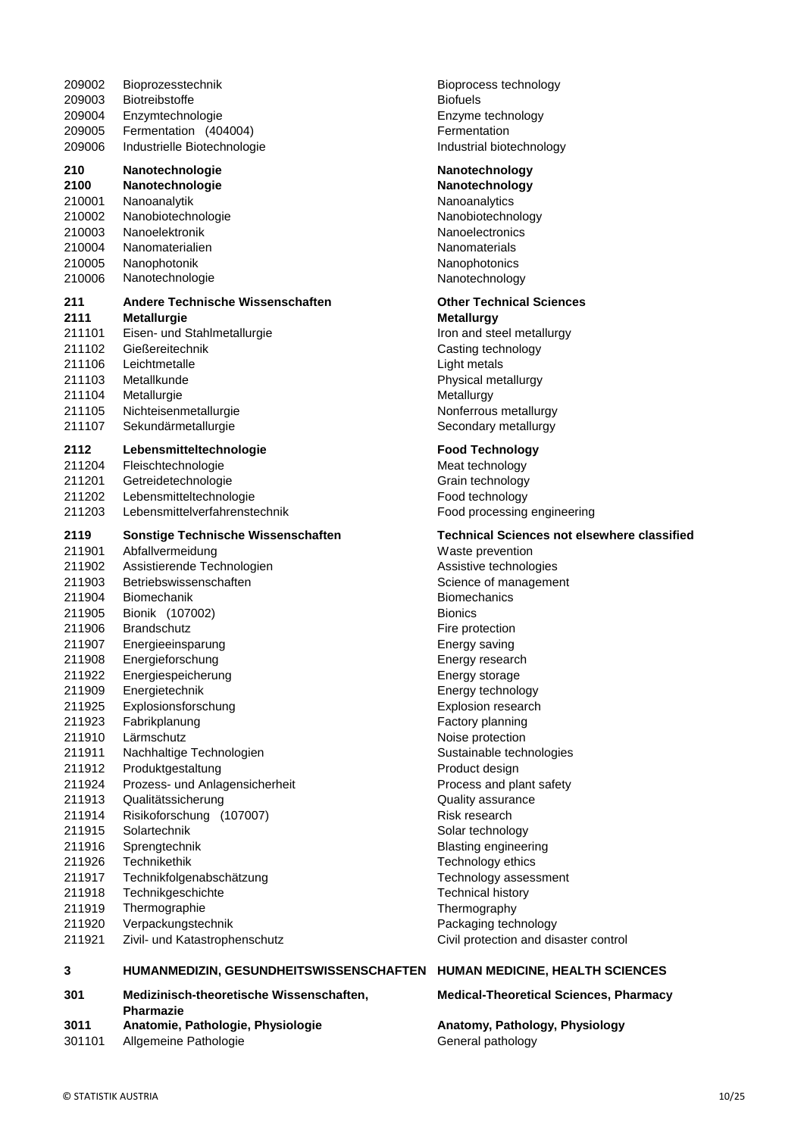| 301              | Medizinisch-theoretische Wissenschaften,       | <b>Medica</b>        |
|------------------|------------------------------------------------|----------------------|
| 3                | HUMANMEDIZIN, GESUNDHEITSWISSENSCHAFTEN        | <b>HUMAN</b>         |
|                  |                                                |                      |
| 211921           | Zivil- und Katastrophenschutz                  | Civil pro            |
| 211920           | Verpackungstechnik                             | Packagi              |
| 211919           | Thermographie                                  | Thermo               |
| 211918           | Technikgeschichte                              | Technic              |
| 211917           | Technikfolgenabschätzung                       | Technol              |
| 211926           | <b>Technikethik</b>                            | Technol              |
| 211916           | Sprengtechnik                                  | <b>Blasting</b>      |
| 211914<br>211915 | Solartechnik                                   | Risk res<br>Solar te |
| 211913           | Qualitätssicherung<br>Risikoforschung (107007) | Quality              |
| 211924           | Prozess- und Anlagensicherheit                 |                      |
| 211912           | Produktgestaltung                              | Product<br>Process   |
| 211911           | Nachhaltige Technologien                       | Sustaina             |
| 211910           | Lärmschutz                                     | Noise p              |
| 211923           | Fabrikplanung                                  | Factory              |
| 211925           | Explosionsforschung                            | Explosio             |
| 211909           | Energietechnik                                 | Energy               |
| 211922           | Energiespeicherung                             | Energy               |
| 211908           | Energieforschung                               | Energy               |
| 211907           | Energieeinsparung                              | Energy               |
| 211906           |                                                | Fire pro             |
| 211905           | Bionik (107002)<br><b>Brandschutz</b>          | <b>Bionics</b>       |
|                  |                                                |                      |
| 211903<br>211904 | Biomechanik                                    | Science<br>Biomecl   |
| 211902           | Betriebswissenschaften                         |                      |
|                  | Assistierende Technologien                     | <b>Assistiv</b>      |
| 211901           | Abfallvermeidung                               | Waste p              |
| 2119             | Sonstige Technische Wissenschaften             | <b>Technio</b>       |
| 211203           | Lebensmittelverfahrenstechnik                  | Food pr              |
| 211202           | Lebensmitteltechnologie                        | Food te              |
| 211201           | Getreidetechnologie                            | Grain te             |
| 211204           | Fleischtechnologie                             | Meat tee             |
| 2112             | Lebensmitteltechnologie                        | <b>Food To</b>       |
|                  |                                                |                      |
| 211107           | Nichteisenmetallurgie<br>Sekundärmetallurgie   | Second               |
| 211105           |                                                | Nonferro             |
| 211104           | Metallurgie                                    | Metallur             |
| 211103           | Metallkunde                                    | Physica              |
| 211106           | Leichtmetalle                                  | Light me             |
| 211102           | Gießereitechnik                                | Casting              |
| 211101           | Eisen- und Stahlmetallurgie                    | Iron anc             |
| 2111             | <b>Metallurgie</b>                             | Metallu              |
| 211              | Andere Technische Wissenschaften               | Other T              |
| 210006           | Nanotechnologie                                | Nanoteo              |
| 210005           | Nanophotonik                                   | Nanoph               |
| 210004           | Nanomaterialien                                | Nanoma               |
| 210003           | Nanoelektronik                                 | Nanoele              |
| 210002           | Nanobiotechnologie                             | Nanobio              |
| 210001           | Nanoanalytik                                   | Nanoan               |
| 2100             | Nanotechnologie                                | Nanote               |
| 210              | Nanotechnologie                                | <b>Nanote</b>        |
|                  |                                                |                      |
| 209006           | Industrielle Biotechnologie                    | Industria            |
| 209005           | Fermentation (404004)                          | Fermen               |
| 209004           | Enzymtechnologie                               | Enzyme               |
| 209003           | <b>Biotreibstoffe</b>                          | <b>Biofuels</b>      |
| 209002           | Bioprozesstechnik                              | <b>Bioproc</b>       |
|                  |                                                |                      |

#### **210 Nanotechnologie Nanotechnology**

**2100 Nanotechnologie Nanotechnology** Nanoanalytics Nanobiotechnology Nanoelectronics Nanomaterials Nanophotonics Nanotechnology

## **211 Other Technical Sciences**

**2111 Metallurgie Metallurgy** Iron and steel metallurgy Casting technology Light metals Physical metallurgy Metallurgy Nonferrous metallurgy Secondary metallurgy

### **Food Technology**

Meat technology Grain technology Food technology Food processing engineering

#### **2119 Sonstige Technische Wissenschaften Technical Sciences not elsewhere classified**

Waste prevention Assistive technologies Science of management **Biomechanics** Fire protection Energy saving Energy research Energy storage Energy technology Explosion research Factory planning Noise protection Sustainable technologies Product design Process and plant safety Quality assurance Risk research Solar technology Blasting engineering Technology ethics Technology assessment Technical history **Thermography** Packaging technology Civil protection and disaster control

#### **CHAFTEN HUMAN MEDICINE, HEALTH SCIENCES**

#### **Medical-Theoretical Sciences, Pharmacy**

**3011 Anatomie, Pathologie, Physiologie Anatomy, Pathology, Physiology** 301101 Allgemeine Pathologie General pathology

**Pharmazie**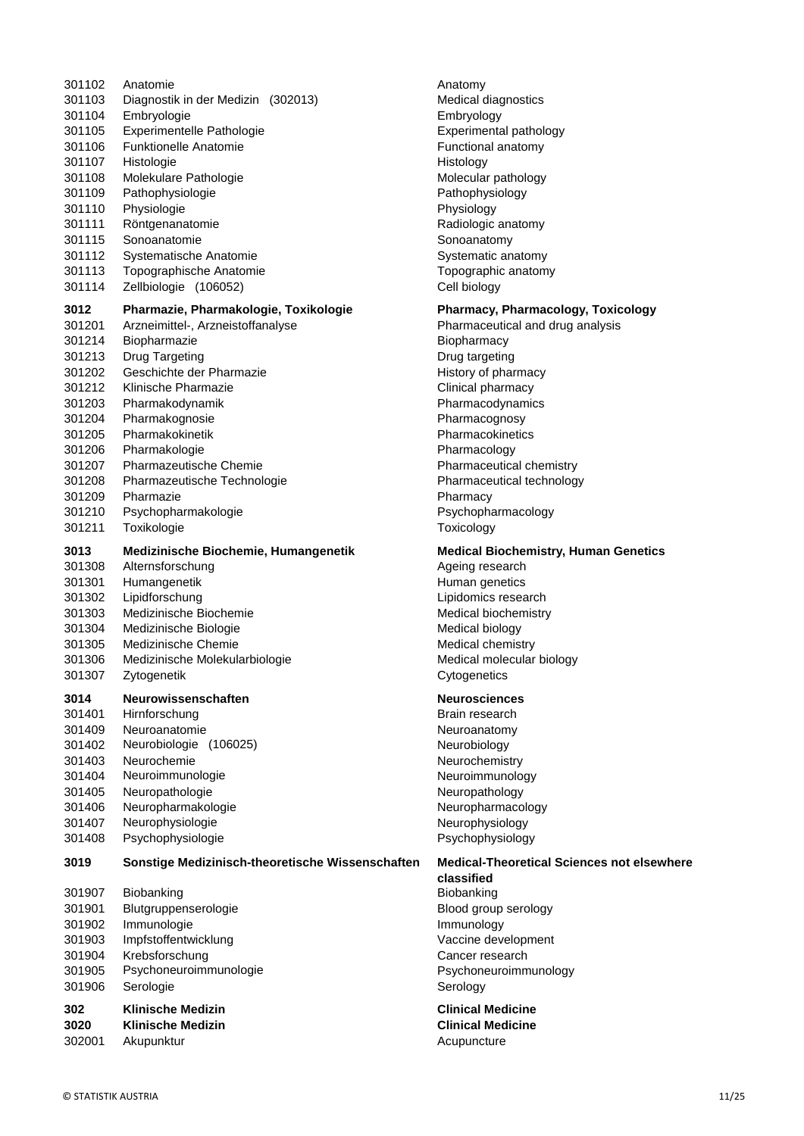| 301102 | Anatomie                                         | Anatomy                   |
|--------|--------------------------------------------------|---------------------------|
| 301103 | Diagnostik in der Medizin (302013)               | Medical diagnostic        |
| 301104 | Embryologie                                      | Embryology                |
| 301105 | Experimentelle Pathologie                        | Experimental path         |
| 301106 | <b>Funktionelle Anatomie</b>                     | Functional anatom         |
| 301107 | Histologie                                       | Histology                 |
| 301108 | Molekulare Pathologie                            | Molecular patholog        |
| 301109 | Pathophysiologie                                 | Pathophysiology           |
| 301110 | Physiologie                                      | Physiology                |
| 301111 | Röntgenanatomie                                  | Radiologic anatom         |
| 301115 | Sonoanatomie                                     | Sonoanatomy               |
| 301112 | Systematische Anatomie                           | Systematic anaton         |
| 301113 | Topographische Anatomie                          | Topographic anato         |
| 301114 | Zellbiologie (106052)                            | Cell biology              |
| 3012   | Pharmazie, Pharmakologie, Toxikologie            | <b>Pharmacy, Pharm</b>    |
| 301201 | Arzneimittel-, Arzneistoffanalyse                | Pharmaceutical an         |
| 301214 | Biopharmazie                                     | Biopharmacy               |
| 301213 | Drug Targeting                                   | Drug targeting            |
| 301202 | Geschichte der Pharmazie                         | History of pharmad        |
| 301212 | Klinische Pharmazie                              | Clinical pharmacy         |
| 301203 | Pharmakodynamik                                  | Pharmacodynamic           |
| 301204 | Pharmakognosie                                   | Pharmacognosy             |
| 301205 | Pharmakokinetik                                  | Pharmacokinetics          |
| 301206 | Pharmakologie                                    |                           |
|        |                                                  | Pharmacology              |
| 301207 | <b>Pharmazeutische Chemie</b>                    | Pharmaceutical ch         |
| 301208 | Pharmazeutische Technologie                      | Pharmaceutical ter        |
| 301209 | Pharmazie                                        | Pharmacy                  |
| 301210 | Psychopharmakologie                              | Psychopharmacolo          |
| 301211 | Toxikologie                                      | Toxicology                |
| 3013   | Medizinische Biochemie, Humangenetik             | <b>Medical Biochem</b>    |
| 301308 | Alternsforschung                                 | Ageing research           |
| 301301 | Humangenetik                                     | Human genetics            |
| 301302 | Lipidforschung                                   | Lipidomics researd        |
| 301303 | Medizinische Biochemie                           | <b>Medical biochemis</b>  |
| 301304 | Medizinische Biologie                            | Medical biology           |
| 301305 | Medizinische Chemie                              | Medical chemistry         |
| 301306 | Medizinische Molekularbiologie                   | Medical molecular         |
| 301307 | Zytogenetik                                      | Cytogenetics              |
| 3014   | Neurowissenschaften                              | <b>Neurosciences</b>      |
| 301401 | Hirnforschung                                    | Brain research            |
| 301409 | Neuroanatomie                                    | Neuroanatomy              |
| 301402 | Neurobiologie (106025)                           | Neurobiology              |
| 301403 | Neurochemie                                      | Neurochemistry            |
| 301404 | Neuroimmunologie                                 | Neuroimmunology           |
| 301405 | Neuropathologie                                  | Neuropathology            |
| 301406 | Neuropharmakologie                               | Neuropharmacolog          |
| 301407 | Neurophysiologie                                 | Neurophysiology           |
| 301408 | Psychophysiologie                                | Psychophysiology          |
| 3019   | Sonstige Medizinisch-theoretische Wissenschaften | <b>Medical-Theoretion</b> |
|        |                                                  | classified                |
| 301907 | Biobanking                                       | Biobanking                |
| 301901 | Blutgruppenserologie                             | Blood group serold        |
| 301902 | Immunologie                                      | Immunology                |
| 301903 | Impfstoffentwicklung                             | Vaccine developm          |
| 301904 | Krebsforschung                                   | Cancer research           |
| 301905 | Psychoneuroimmunologie                           | Psychoneuroimmu           |
| 301906 | Serologie                                        | Serology                  |
| 302    | <b>Klinische Medizin</b>                         | <b>Clinical Medicine</b>  |
| 3020   | <b>Klinische Medizin</b>                         | <b>Clinical Medicine</b>  |

302001 Akupunktur **Acupuncture** Acupuncture

Anatomy Medical diagnostics Embryology Experimental pathology Functional anatomy **Histology** Molecular pathology Pathophysiology Physiology Radiologic anatomy Sonoanatomy Systematic anatomy Topographic anatomy Cell biology

#### **3012 Pharmazie, Pharmakologie, Toxikologie Pharmacy, Pharmacology, Toxicology**

Pharmaceutical and drug analysis **Biopharmacy** Drug targeting History of pharmacy Clinical pharmacy Pharmacodynamics **Pharmacognosy** Pharmacokinetics Pharmacology Pharmaceutical chemistry Pharmaceutical technology Pharmacy Psychopharmacology **Toxicology** 

#### **3013 Medizinische Biochemie, Humangenetik Medical Biochemistry, Human Genetics**

Ageing research Human genetics Lipidomics research Medical biochemistry Medical biology Medical chemistry Medical molecular biology **Cytogenetics** 

#### **3014 Neurowissenschaften Neurosciences**

Brain research Neuroanatomy Neurobiology Neurochemistry Neuroimmunology Neuropathology Neuropharmacology Neurophysiology Psychophysiology

## **3019 Sonstige Medizinisch-theoretische Wissenschaften Medical-Theoretical Sciences not elsewhere**

**classified Biobanking** Blood group serology **Immunology** Vaccine development Cancer research Psychoneuroimmunology Serology

**302 Klinische Medizin Clinical Medicine**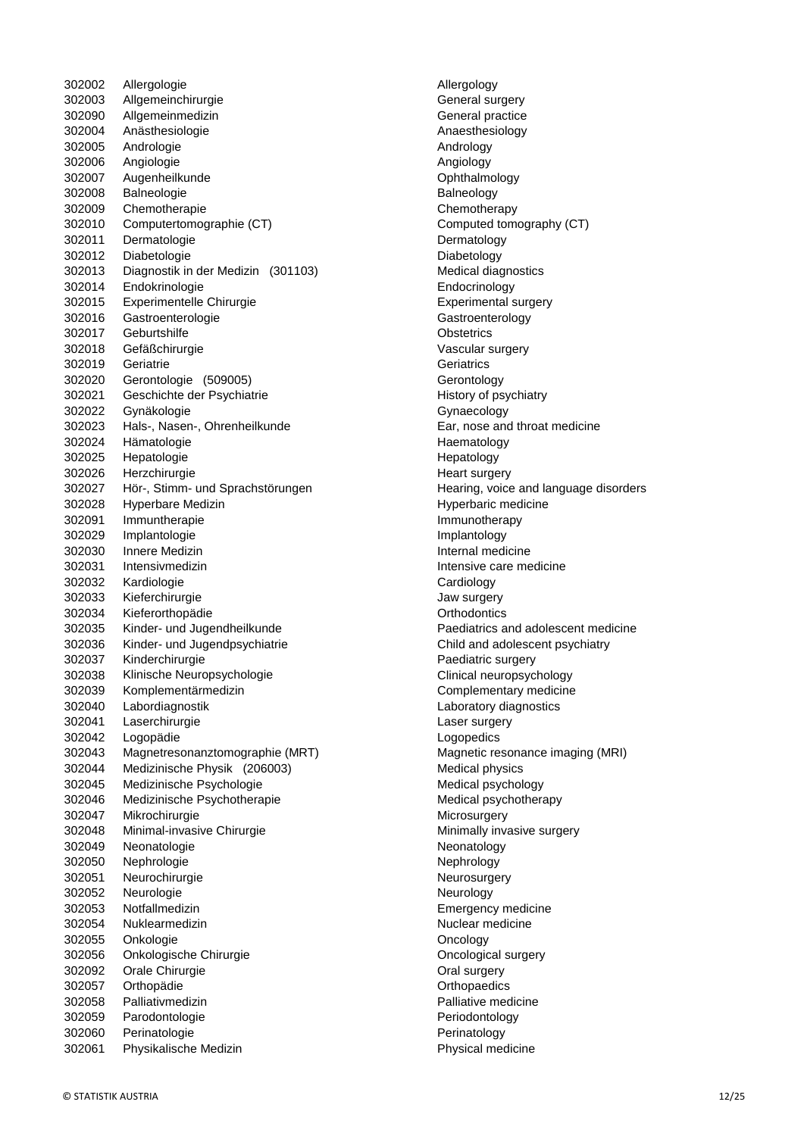302002 Allergologie **Allergology**  Allgemeinchirurgie General surgery Allgemeinmedizin General practice Anästhesiologie Anaesthesiology Andrologie Andrology Angiologie Angiology Augenheilkunde Ophthalmology 302008 Balneologie **Balneology** Balneology Chemotherapie Chemotherapy Computertomographie (CT) Computed tomography (CT) Dermatologie Dermatology 302012 Diabetologie **Diabetology**  Diagnostik in der Medizin (301103) Medical diagnostics Endokrinologie Endocrinology Experimentelle Chirurgie Experimental surgery Gastroenterologie Gastroenterology Geburtshilfe Obstetrics Gefäßchirurgie Vascular surgery Geriatrie Geriatrics Gerontologie (509005) Gerontology 302021 Geschichte der Psychiatrie **History of psychiatry** History of psychiatry Gynäkologie Gynaecology Hals-, Nasen-, Ohrenheilkunde Ear, nose and throat medicine Hämatologie Haematology 302025 Hepatologie **Hepatology**  Herzchirurgie Heart surgery Hör-, Stimm- und Sprachstörungen Hearing, voice and language disorders 302028 Hyperbare Medizin **Hyperbaric medicine** Hyperbaric medicine Immuntherapie Immunotherapy Implantologie Implantology Innere Medizin Internal medicine Intensivmedizin Intensive care medicine Kardiologie Cardiology Kieferchirurgie Jaw surgery Kieferorthopädie Orthodontics Kinder- und Jugendheilkunde Paediatrics and adolescent medicine Kinder- und Jugendpsychiatrie Child and adolescent psychiatry Kinderchirurgie Paediatric surgery Klinische Neuropsychologie Clinical neuropsychology Komplementärmedizin Complementary medicine Labordiagnostik Laboratory diagnostics Laserchirurgie Laser surgery Logopädie Logopedics Magnetresonanztomographie (MRT) Magnetic resonance imaging (MRI) 302044 Medizinische Physik (206003) Medical physics 302045 Medizinische Psychologie Medical psychology Medical psychology Medizinische Psychotherapie Medical psychotherapy Mikrochirurgie Microsurgery 302048 Minimal-invasive Chirurgie Minimally invasive surgery 302049 Neonatologie **Networks** Neonatology 302050 Nephrologie News 202050 Nephrology 302051 Neurochirurgie **Neurosurgery** Neurosurgery 302052 Neurologie Neurology Notfallmedizin Emergency medicine 302054 Nuklearmedizin **Nuclear Muclear Muclear medicine** Nuclear medicine Onkologie Oncology Onkologische Chirurgie Oncological surgery 302092 Orale Chirurgie **Channel Strutter Constructs** Oral surgery Orthopädie Orthopaedics Palliativmedizin Palliative medicine Parodontologie Periodontology Perinatologie Perinatology Physikalische Medizin Physical medicine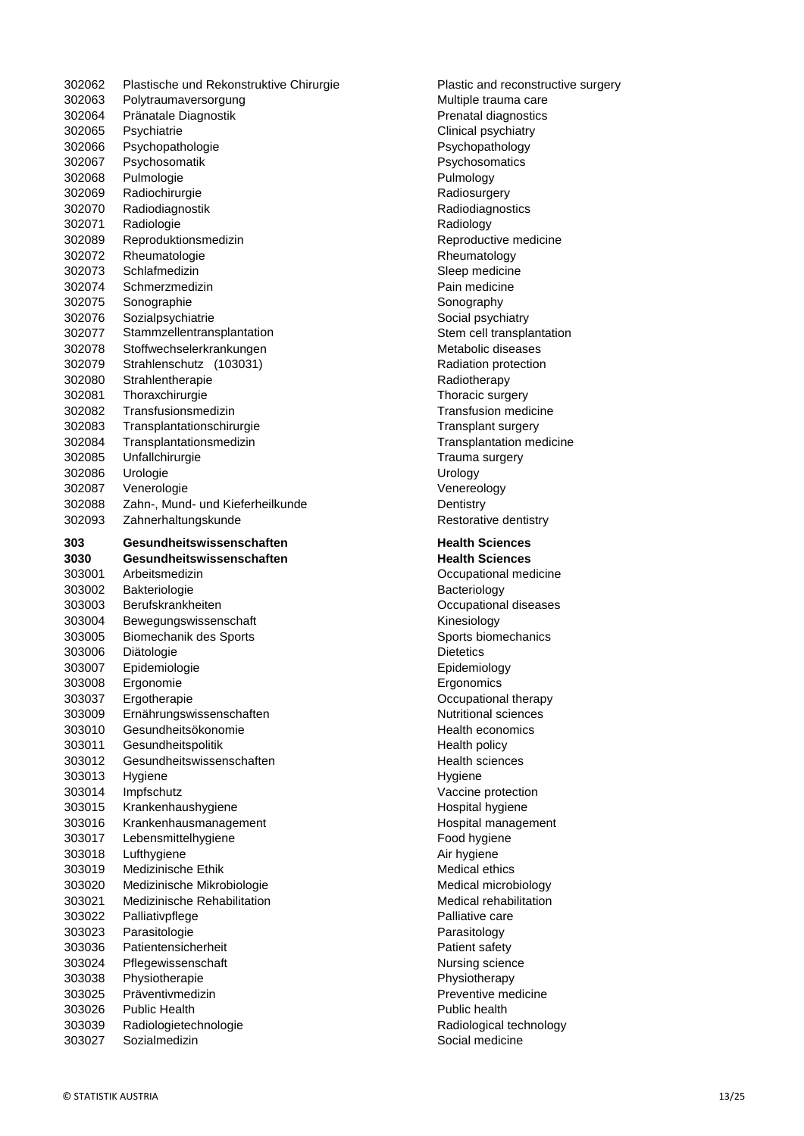| 302062           | Plastische und Rekonstruktive Chirurgie | Plastic and reco                    |
|------------------|-----------------------------------------|-------------------------------------|
| 302063           | Polytraumaversorgung                    | Multiple trauma                     |
| 302064           | Pränatale Diagnostik                    | Prenatal diagnos                    |
| 302065           | Psychiatrie                             | Clinical psychiat                   |
| 302066           | Psychopathologie                        | Psychopatholog                      |
| 302067           | Psychosomatik                           | Psychosomatics                      |
| 302068           | Pulmologie                              | Pulmology                           |
| 302069           | Radiochirurgie                          | Radiosurgery                        |
| 302070           | Radiodiagnostik                         | Radiodiagnostic                     |
| 302071           | Radiologie                              | Radiology                           |
| 302089           | Reproduktionsmedizin                    | Reproductive me                     |
| 302072           | Rheumatologie                           | Rheumatology                        |
| 302073           | Schlafmedizin                           | Sleep medicine                      |
| 302074           | Schmerzmedizin                          | Pain medicine                       |
| 302075           | Sonographie                             | Sonography                          |
| 302076           | Sozialpsychiatrie                       | Social psychiatry                   |
| 302077           | Stammzellentransplantation              | Stem cell transp                    |
| 302078           | Stoffwechselerkrankungen                | Metabolic diseas                    |
| 302079           | Strahlenschutz (103031)                 | Radiation protec                    |
| 302080           | Strahlentherapie                        | Radiotherapy                        |
| 302081           | Thoraxchirurgie                         | Thoracic surgery                    |
| 302082           | Transfusionsmedizin                     | <b>Transfusion med</b>              |
| 302083           | Transplantationschirurgie               | Transplant surge                    |
| 302084           | Transplantationsmedizin                 | Transplantation                     |
| 302085           | Unfallchirurgie                         | Trauma surgery                      |
| 302086           | Urologie                                | Urology                             |
| 302087           | Venerologie                             | Venereology                         |
| 302088           | Zahn-, Mund- und Kieferheilkunde        | Dentistry                           |
| 302093           | Zahnerhaltungskunde                     | Restorative dent                    |
| 303              | Gesundheitswissenschaften               | <b>Health Science</b>               |
| 3030             | Gesundheitswissenschaften               | <b>Health Science</b>               |
| 303001           | Arbeitsmedizin                          | Occupational me                     |
| 303002           | Bakteriologie                           | Bacteriology                        |
|                  | Berufskrankheiten                       |                                     |
| 303003           |                                         | Occupational dis                    |
| 303004           | Bewegungswissenschaft                   | Kinesiology                         |
| 303005           | Biomechanik des Sports                  | Sports biomecha                     |
| 303006           | Diätologie                              | <b>Dietetics</b>                    |
| 303007           | Epidemiologie                           | Epidemiology                        |
| 303008           | Ergonomie                               | Ergonomics                          |
| 303037           | Ergotherapie                            | Occupational the                    |
| 303009           | Ernährungswissenschaften                | Nutritional scien                   |
| 303010           | Gesundheitsökonomie                     | Health economid                     |
| 303011           | Gesundheitspolitik                      | Health policy                       |
| 303012           | Gesundheitswissenschaften               | <b>Health sciences</b>              |
| 303013           | Hygiene                                 | Hygiene                             |
| 303014           | Impfschutz                              | Vaccine protecti                    |
| 303015           | Krankenhaushygiene                      | Hospital hygiene                    |
| 303016           | Krankenhausmanagement                   | Hospital manage                     |
| 303017           | Lebensmittelhygiene                     | Food hygiene                        |
| 303018           | Lufthygiene                             | Air hygiene                         |
| 303019           | Medizinische Ethik                      | Medical ethics                      |
| 303020           | Medizinische Mikrobiologie              | Medical microbid                    |
| 303021           | Medizinische Rehabilitation             | Medical rehabilit                   |
| 303022           | Palliativpflege                         | Palliative care                     |
| 303023           | Parasitologie                           | Parasitology                        |
| 303036           | Patientensicherheit                     | Patient safety                      |
| 303024           | Pflegewissenschaft                      | Nursing science                     |
| 303038           | Physiotherapie                          | Physiotherapy                       |
| 303025           | Präventivmedizin                        | Preventive medi                     |
| 303026           | <b>Public Health</b>                    | Public health                       |
| 303039<br>303027 | Radiologietechnologie<br>Sozialmedizin  | Radiological tec<br>Social medicine |

angle **Plastic and reconstructive surgery** Plastic and reconstructive surgery Multiple trauma care Prenatal diagnostics Clinical psychiatry Psychopathology Psychosomatics **Pulmology Radiosurgery Radiodiagnostics** Radiology Reproductive medicine **Rheumatology** Sleep medicine Pain medicine Sonography Social psychiatry Stem cell transplantation Metabolic diseases Radiation protection **Radiotherapy** Thoracic surgery Transfusion medicine Transplant surgery Transplantation medicine Trauma surgery Venereology Dentistry Restorative dentistry **Health Sciences Health Sciences** Occupational medicine **Bacteriology** Occupational diseases Kinesiology Sports biomechanics **Dietetics Epidemiology** Ergonomics Occupational therapy Nutritional sciences Health economics Health policy Health sciences Vaccine protection Hospital hygiene Hospital management Food hygiene

> Air hygiene Medical ethics Medical microbiology Medical rehabilitation Palliative care Parasitology Patient safety Nursing science Physiotherapy Preventive medicine Public health

Radiological technology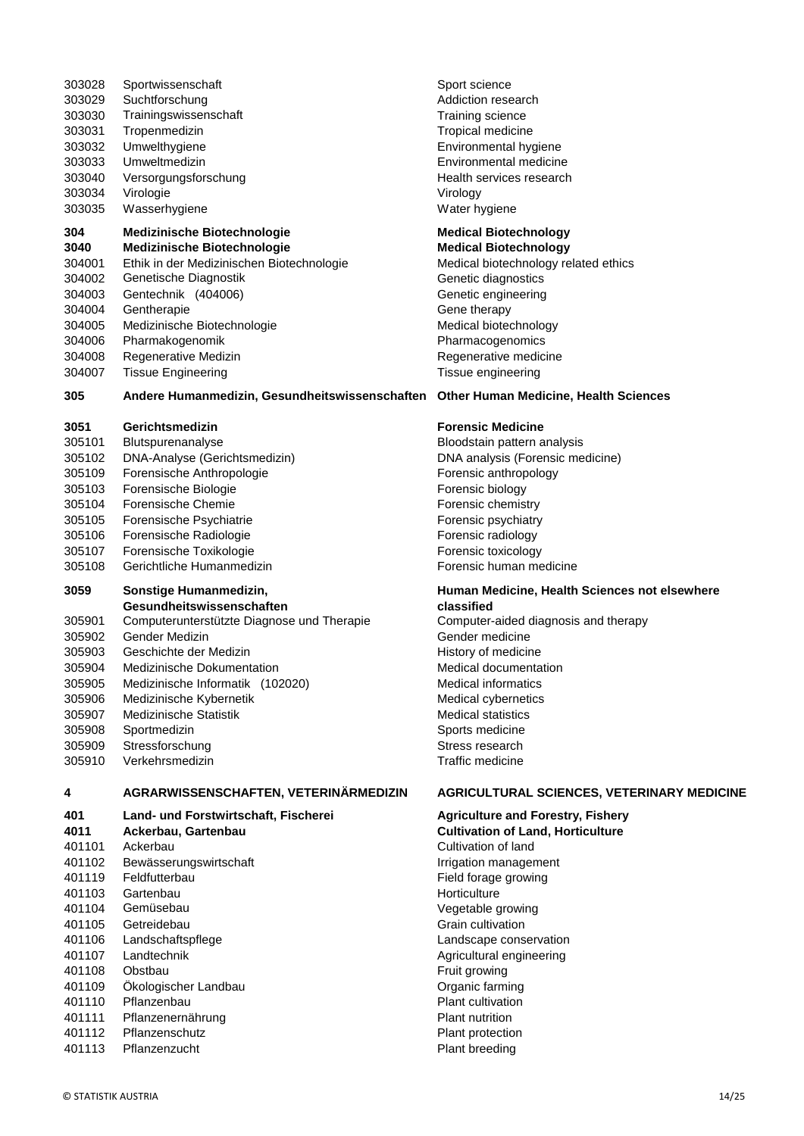| 303035              | Wasserhygiene                                  | Water hygiene                                     |
|---------------------|------------------------------------------------|---------------------------------------------------|
| 304                 | <b>Medizinische Biotechnologie</b>             | <b>Medical Biotechnology</b>                      |
| 3040                | <b>Medizinische Biotechnologie</b>             | <b>Medical Biotechnology</b>                      |
| 304001              | Ethik in der Medizinischen Biotechnologie      | Medical biotechnology related ethics              |
| 304002              | Genetische Diagnostik                          | Genetic diagnostics                               |
| 304003              | Gentechnik (404006)                            | Genetic engineering                               |
| 304004              | Gentherapie                                    | Gene therapy                                      |
| 304005              | Medizinische Biotechnologie                    |                                                   |
| 304006              |                                                | Medical biotechnology                             |
| 304008              | Pharmakogenomik                                | Pharmacogenomics                                  |
|                     | Regenerative Medizin                           | Regenerative medicine                             |
| 304007              | <b>Tissue Engineering</b>                      | Tissue engineering                                |
| 305                 | Andere Humanmedizin, Gesundheitswissenschaften | <b>Other Human Medicine, Health Sciences</b>      |
| 3051                | Gerichtsmedizin                                | <b>Forensic Medicine</b>                          |
| 305101              | Blutspurenanalyse                              | Bloodstain pattern analysis                       |
| 305102              | DNA-Analyse (Gerichtsmedizin)                  | DNA analysis (Forensic medicine)                  |
| 305109              | Forensische Anthropologie                      | Forensic anthropology                             |
| 305103              | Forensische Biologie                           | Forensic biology                                  |
| 305104              | <b>Forensische Chemie</b>                      | Forensic chemistry                                |
| 305105              | Forensische Psychiatrie                        | Forensic psychiatry                               |
| 305106              | Forensische Radiologie                         | Forensic radiology                                |
| 305107              | Forensische Toxikologie                        | Forensic toxicology                               |
| 305108              | Gerichtliche Humanmedizin                      | Forensic human medicine                           |
| 3059                | Sonstige Humanmedizin,                         | Human Medicine, Health Sciences not elsewhere     |
|                     | Gesundheitswissenschaften                      | classified                                        |
| 305901              | Computerunterstützte Diagnose und Therapie     | Computer-aided diagnosis and therapy              |
| 305902              | Gender Medizin                                 | Gender medicine                                   |
| 305903              | Geschichte der Medizin                         | History of medicine                               |
| 305904              | Medizinische Dokumentation                     | Medical documentation                             |
| 305905              | Medizinische Informatik (102020)               | <b>Medical informatics</b>                        |
| 305906              | Medizinische Kybernetik                        | Medical cybernetics                               |
| 305907              | Medizinische Statistik                         | <b>Medical statistics</b>                         |
| 305908              | Sportmedizin                                   | Sports medicine                                   |
| 305909              | Stressforschung                                | Stress research                                   |
| 305910              | Verkehrsmedizin                                | Traffic medicine                                  |
| 4                   | AGRARWISSENSCHAFTEN, VETERINÄRMEDIZIN          | <b>AGRICULTURAL SCIENCES, VETERINARY MEDICINE</b> |
| 401                 | Land- und Forstwirtschaft, Fischerei           | <b>Agriculture and Forestry, Fishery</b>          |
| 4011                | Ackerbau, Gartenbau                            | <b>Cultivation of Land, Horticulture</b>          |
| 401101              | Ackerbau                                       | Cultivation of land                               |
| 401102              | Bewässerungswirtschaft                         | Irrigation management                             |
| 401119              | Feldfutterbau                                  | Field forage growing                              |
| 401103              | Gartenbau                                      | Horticulture                                      |
| 401104              | Gemüsebau                                      | Vegetable growing                                 |
| 401105              | Getreidebau                                    | Grain cultivation                                 |
| 401106              | Landschaftspflege                              | Landscape conservation                            |
| 401107              | Landtechnik                                    | Agricultural engineering                          |
| 401108              | Obstbau                                        | Fruit growing                                     |
| 401109              | Ökologischer Landbau                           | Organic farming                                   |
| 401110              | Pflanzenbau                                    | Plant cultivation                                 |
| 401111              | Pflanzenernährung                              | Plant nutrition                                   |
| 401112              | Pflanzenschutz                                 | Plant protection                                  |
| 401113              | Pflanzenzucht                                  | Plant breeding                                    |
|                     |                                                |                                                   |
| © STATISTIK AUSTRIA |                                                | 14/25                                             |
|                     |                                                |                                                   |

303028 Sportwissenschaft Sport science 303029 Suchtforschung and a state and a state Addiction research 303030 Trainingswissenschaft Training science 303031 Tropenmedizin Tropical medicine 303032 Umwelthygiene Environmental hygiene 303033 Umweltmedizin Environmental medicine 303040 Versorgungsforschung Health services research 303034 Virologie Virology Water hygiene

#### **304 Medizinische Biotechnologie Medical Biotechnology 3040 Medizinische Biotechnologie Medical Biotechnology**

#### **26 Ander Human Medicine, Health Sciences**

#### **3 i** Grensic Medicine

#### **Human Medicine, Health Sciences not elsewhere classified**

### **AGRICULTURAL SCIENCES, VETERINARY MEDICINE**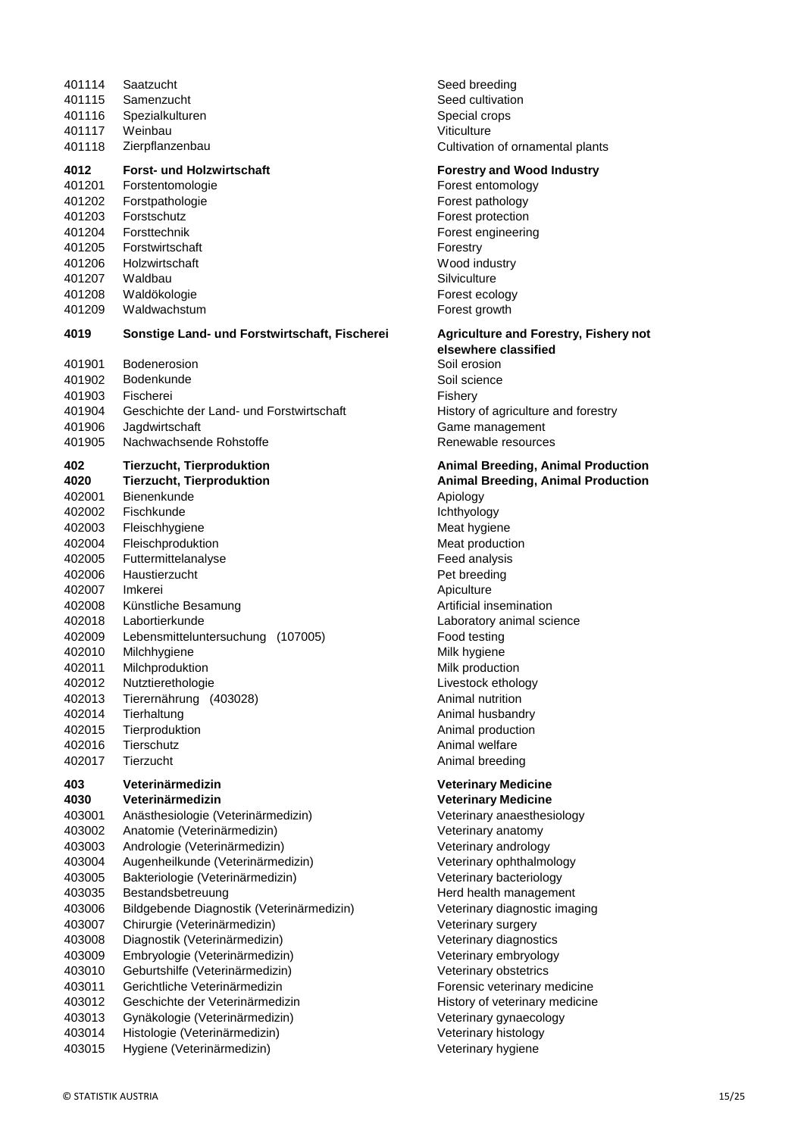| 401114<br>401115<br>401116<br>401117<br>401118                                                 | Saatzucht<br>Samenzucht<br>Spezialkulturen<br>Weinbau<br>Zierpflanzenbau                                                                                                               | Seed breeding<br>Seed cultivation<br>Special crops<br>Viticulture<br>Cultivation of or                                                                                             |
|------------------------------------------------------------------------------------------------|----------------------------------------------------------------------------------------------------------------------------------------------------------------------------------------|------------------------------------------------------------------------------------------------------------------------------------------------------------------------------------|
| 4012<br>401201<br>401202<br>401203<br>401204<br>401205<br>401206<br>401207<br>401208<br>401209 | <b>Forst- und Holzwirtschaft</b><br>Forstentomologie<br>Forstpathologie<br>Forstschutz<br>Forsttechnik<br>Forstwirtschaft<br>Holzwirtschaft<br>Waldbau<br>Waldökologie<br>Waldwachstum | <b>Forestry and W</b><br>Forest entomolo<br>Forest patholog<br>Forest protectio<br>Forest engineer<br>Forestry<br>Wood industry<br>Silviculture<br>Forest ecology<br>Forest growth |
| 4019                                                                                           | Sonstige Land- und Forstwirtschaft, Fischerei                                                                                                                                          | <b>Agriculture and</b><br>elsewhere clas                                                                                                                                           |
| 401901                                                                                         | <b>Bodenerosion</b>                                                                                                                                                                    | Soil erosion                                                                                                                                                                       |
| 401902<br>401903                                                                               | Bodenkunde<br>Fischerei                                                                                                                                                                | Soil science                                                                                                                                                                       |
| 401904                                                                                         | Geschichte der Land- und Forstwirtschaft                                                                                                                                               | Fishery<br>History of agricu                                                                                                                                                       |
| 401906                                                                                         | Jagdwirtschaft                                                                                                                                                                         | Game manager                                                                                                                                                                       |
| 401905                                                                                         | Nachwachsende Rohstoffe                                                                                                                                                                | Renewable reso                                                                                                                                                                     |
| 402                                                                                            | <b>Tierzucht, Tierproduktion</b>                                                                                                                                                       | <b>Animal Breedir</b>                                                                                                                                                              |
| 4020                                                                                           | <b>Tierzucht, Tierproduktion</b>                                                                                                                                                       | <b>Animal Breedir</b>                                                                                                                                                              |
| 402001                                                                                         | Bienenkunde                                                                                                                                                                            | Apiology                                                                                                                                                                           |
| 402002                                                                                         | Fischkunde                                                                                                                                                                             | Ichthyology                                                                                                                                                                        |
| 402003<br>402004                                                                               | Fleischhygiene<br>Fleischproduktion                                                                                                                                                    | Meat hygiene<br>Meat productior                                                                                                                                                    |
| 402005                                                                                         | Futtermittelanalyse                                                                                                                                                                    | Feed analysis                                                                                                                                                                      |
| 402006                                                                                         | Haustierzucht                                                                                                                                                                          | Pet breeding                                                                                                                                                                       |
| 402007                                                                                         | Imkerei                                                                                                                                                                                | Apiculture                                                                                                                                                                         |
| 402008                                                                                         | Künstliche Besamung                                                                                                                                                                    | Artificial insemir                                                                                                                                                                 |
| 402018                                                                                         | Labortierkunde                                                                                                                                                                         | Laboratory anim                                                                                                                                                                    |
| 402009                                                                                         | Lebensmitteluntersuchung<br>(107005)                                                                                                                                                   | Food testing                                                                                                                                                                       |
| 402010                                                                                         | Milchhygiene                                                                                                                                                                           | Milk hygiene                                                                                                                                                                       |
| 402011                                                                                         | Milchproduktion                                                                                                                                                                        | Milk production                                                                                                                                                                    |
| 402012                                                                                         | Nutztierethologie                                                                                                                                                                      | Livestock ethold                                                                                                                                                                   |
| 402013                                                                                         | Tierernährung (403028)                                                                                                                                                                 | Animal nutrition                                                                                                                                                                   |
| 402014                                                                                         | Tierhaltung                                                                                                                                                                            | Animal husband                                                                                                                                                                     |
| 402015                                                                                         | Tierproduktion                                                                                                                                                                         | Animal producti                                                                                                                                                                    |
| 402016                                                                                         | Tierschutz                                                                                                                                                                             | Animal welfare                                                                                                                                                                     |
| 402017                                                                                         | Tierzucht                                                                                                                                                                              | Animal breeding                                                                                                                                                                    |
| 403<br>4030                                                                                    | Veterinärmedizin<br>Veterinärmedizin                                                                                                                                                   | <b>Veterinary Med</b><br><b>Veterinary Med</b>                                                                                                                                     |
| 403001                                                                                         | Anästhesiologie (Veterinärmedizin)                                                                                                                                                     | Veterinary anae                                                                                                                                                                    |
| 403002                                                                                         | Anatomie (Veterinärmedizin)                                                                                                                                                            | Veterinary anato                                                                                                                                                                   |
| 403003                                                                                         | Andrologie (Veterinärmedizin)                                                                                                                                                          | Veterinary andr                                                                                                                                                                    |
| 403004                                                                                         | Augenheilkunde (Veterinärmedizin)                                                                                                                                                      | Veterinary ophtl                                                                                                                                                                   |
| 403005                                                                                         | Bakteriologie (Veterinärmedizin)                                                                                                                                                       | Veterinary bacte                                                                                                                                                                   |
| 403035                                                                                         | Bestandsbetreuung                                                                                                                                                                      | Herd health mai                                                                                                                                                                    |
| 403006                                                                                         | Bildgebende Diagnostik (Veterinärmedizin)                                                                                                                                              | Veterinary diagr                                                                                                                                                                   |
| 403007                                                                                         | Chirurgie (Veterinärmedizin)                                                                                                                                                           | Veterinary surge                                                                                                                                                                   |
| 403008                                                                                         | Diagnostik (Veterinärmedizin)                                                                                                                                                          | Veterinary diagr                                                                                                                                                                   |
| 403009                                                                                         | Embryologie (Veterinärmedizin)                                                                                                                                                         | Veterinary embi                                                                                                                                                                    |
| 403010                                                                                         | Geburtshilfe (Veterinärmedizin)                                                                                                                                                        | Veterinary obste                                                                                                                                                                   |
| 403011                                                                                         | Gerichtliche Veterinärmedizin                                                                                                                                                          | Forensic veterin                                                                                                                                                                   |
| 403012                                                                                         | Geschichte der Veterinärmedizin                                                                                                                                                        | History of veteri                                                                                                                                                                  |
| 403013                                                                                         | Gynäkologie (Veterinärmedizin)                                                                                                                                                         | Veterinary gyna                                                                                                                                                                    |
| 403014                                                                                         | Histologie (Veterinärmedizin)                                                                                                                                                          | Veterinary histo                                                                                                                                                                   |
| 403015                                                                                         | Hygiene (Veterinärmedizin)                                                                                                                                                             | Veterinary hygie                                                                                                                                                                   |

| Seed breeding                    |
|----------------------------------|
| Seed cultivation                 |
| Special crops                    |
| Viticulture                      |
| Cultivation of ornamental plants |

#### **Forestry and Wood Industry**

Forest entomology Forest pathology Forest protection Forest engineering Wood industry Silviculture Forest ecology Forest growth

#### **4019 Agriculture and Forestry, Fishery not**

**elsewhere classified** Soil erosion Soil science History of agriculture and forestry Game management Renewable resources

## **402 Tierzucht, Tierproduktion Animal Breeding, Animal Production 4020 Tierzucht, Tierproduktion Animal Breeding, Animal Production Ichthyology** Meat hygiene Meat production Feed analysis Pet breeding Apiculture Artificial insemination Laboratory animal science Food testing Milk hygiene Milk production Livestock ethology Animal nutrition Animal husbandry Animal production Animal welfare Animal breeding

#### **Veterinary Medicine Veterinary Medicine**

Veterinary anaesthesiology Veterinary anatomy Veterinary andrology Veterinary ophthalmology Veterinary bacteriology Herd health management Veterinary diagnostic imaging Veterinary surgery Veterinary diagnostics Veterinary embryology Veterinary obstetrics Forensic veterinary medicine History of veterinary medicine Veterinary gynaecology Veterinary histology Veterinary hygiene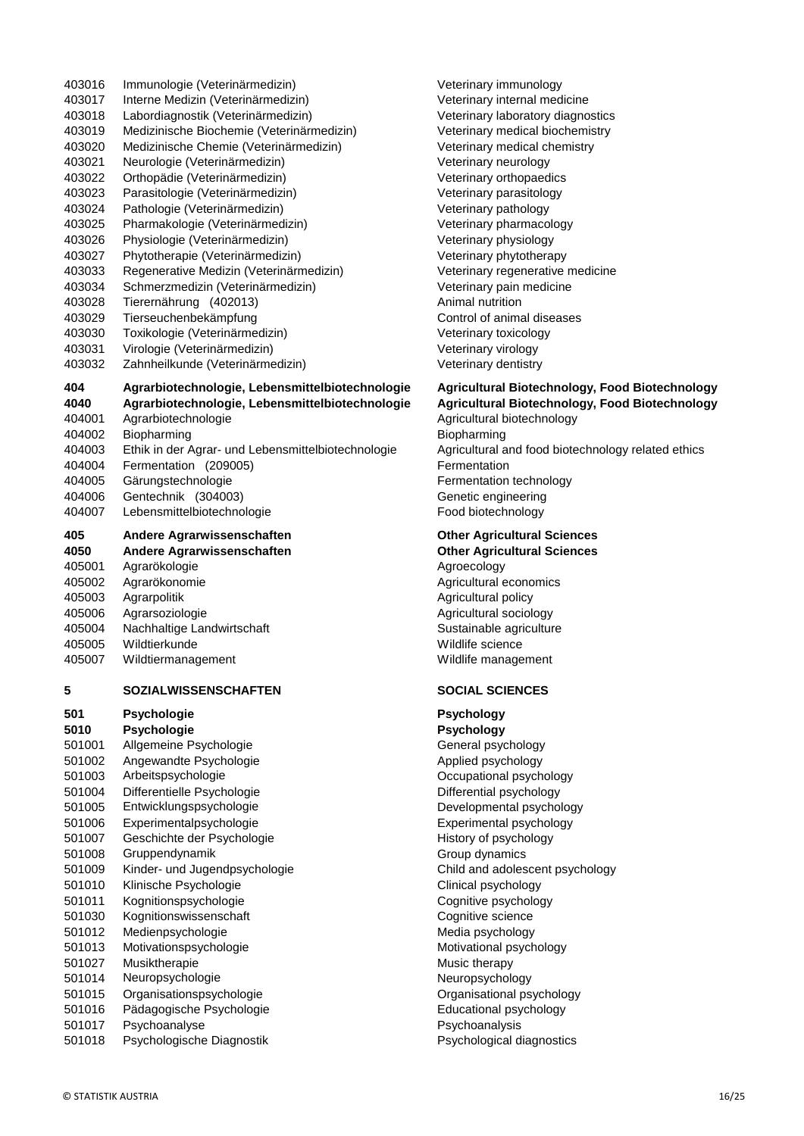| 403017           | Interne Medizin (Veterinärmedizin)                                                       |
|------------------|------------------------------------------------------------------------------------------|
| 403018           | Labordiagnostik (Veterinärmedizin)                                                       |
| 403019           | Medizinische Biochemie (Veterinärmedizin)                                                |
| 403020           | Medizinische Chemie (Veterinärmedizin)                                                   |
| 403021           | Neurologie (Veterinärmedizin)                                                            |
| 403022           | Orthopädie (Veterinärmedizin)                                                            |
| 403023           | Parasitologie (Veterinärmedizin)                                                         |
| 403024           | Pathologie (Veterinärmedizin)                                                            |
| 403025           | Pharmakologie (Veterinärmedizin)                                                         |
| 403026           | Physiologie (Veterinärmedizin)                                                           |
| 403027           | Phytotherapie (Veterinärmedizin)                                                         |
| 403033           | Regenerative Medizin (Veterinärmedizin)                                                  |
| 403034           | Schmerzmedizin (Veterinärmedizin)                                                        |
| 403028           | Tierernährung (402013)                                                                   |
| 403029           | Tierseuchenbekämpfung                                                                    |
| 403030           | Toxikologie (Veterinärmedizin)                                                           |
| 403031           | Virologie (Veterinärmedizin)                                                             |
| 403032           | Zahnheilkunde (Veterinärmedizin)                                                         |
| 404<br>4040      | Agrarbiotechnologie, Lebensmittelbiotechno<br>Agrarbiotechnologie, Lebensmittelbiotechno |
| 404001           | Agrarbiotechnologie                                                                      |
| 404002           | Biopharming                                                                              |
| 404003           | Ethik in der Agrar- und Lebensmittelbiotechnolog                                         |
| 404004           |                                                                                          |
| 404005           | Fermentation (209005)                                                                    |
|                  | Gärungstechnologie                                                                       |
| 404006<br>404007 | Gentechnik (304003)<br>Lebensmittelbiotechnologie                                        |
|                  |                                                                                          |
| 405              | Andere Agrarwissenschaften                                                               |
| 4050             | Andere Agrarwissenschaften                                                               |
| 405001           | Agrarökologie                                                                            |
| 405002           | Agrarökonomie                                                                            |
| 405003           | Agrarpolitik                                                                             |
| 405006           | Agrarsoziologie                                                                          |
| 405004           | Nachhaltige Landwirtschaft<br>Wildtierkunde                                              |
| 405005           |                                                                                          |
| 405007           | Wildtiermanagement                                                                       |
| 5                | SOZIALWISSENSCHAFTEN                                                                     |
| 501              | Psychologie                                                                              |
| 5010             | Psychologie                                                                              |
| 501001           |                                                                                          |
| 501002           | Allgemeine Psychologie                                                                   |
|                  | Angewandte Psychologie                                                                   |
| 501003           | Arbeitspsychologie                                                                       |
| 501004           | Differentielle Psychologie                                                               |
| 501005           | Entwicklungspsychologie                                                                  |
| 501006           | Experimentalpsychologie                                                                  |
| 501007           | Geschichte der Psychologie                                                               |
| 501008           | Gruppendynamik                                                                           |
| 501009           | Kinder- und Jugendpsychologie                                                            |
| 501010           | Klinische Psychologie                                                                    |
| 501011           | Kognitionspsychologie                                                                    |
| 501030           | Kognitionswissenschaft                                                                   |
| 501012           | Medienpsychologie                                                                        |
| 501013           | Motivationspsychologie                                                                   |
| 501027           | Musiktherapie                                                                            |
| 501014           | Neuropsychologie                                                                         |
| 501015           | Organisationspsychologie                                                                 |
| 501016<br>501017 | Pädagogische Psychologie<br>Psychoanalyse                                                |

501018 Psychologische Diagnostik Psychological diagnostics

403016 Immunologie (Veterinärmedizin) Veterinary immunology Veterinary internal medicine Veterinary laboratory diagnostics Veterinary medical biochemistry Veterinary medical chemistry Veterinary neurology Veterinary orthopaedics Veterinary parasitology Veterinary pathology Veterinary pharmacology Veterinary physiology Veterinary phytotherapy Veterinary regenerative medicine Veterinary pain medicine Animal nutrition Control of animal diseases Veterinary toxicology Veterinary virology Veterinary dentistry

## **404 Agricultural Biotechnology, Food Biotechnology 405 Agricultural Biotechnology, Food Biotechnology**

Agricultural biotechnology **Biopharming** gie Agricultural and food biotechnology related ethics **Fermentation** Fermentation technology Genetic engineering Food biotechnology

## **0ther Agricultural Sciences**

**0ther Agricultural Sciences** Agroecology Agricultural economics Agricultural policy Agricultural sociology Sustainable agriculture Wildlife science Wildlife management

### $$

**501 Psychologie Psychology 5010 Psychologie Psychology** General psychology Applied psychology Occupational psychology Differential psychology Developmental psychology Experimental psychology History of psychology Group dynamics Child and adolescent psychology Clinical psychology Cognitive psychology Cognitive science Media psychology Motivational psychology Music therapy Neuropsychology Organisational psychology Educational psychology Psychoanalysis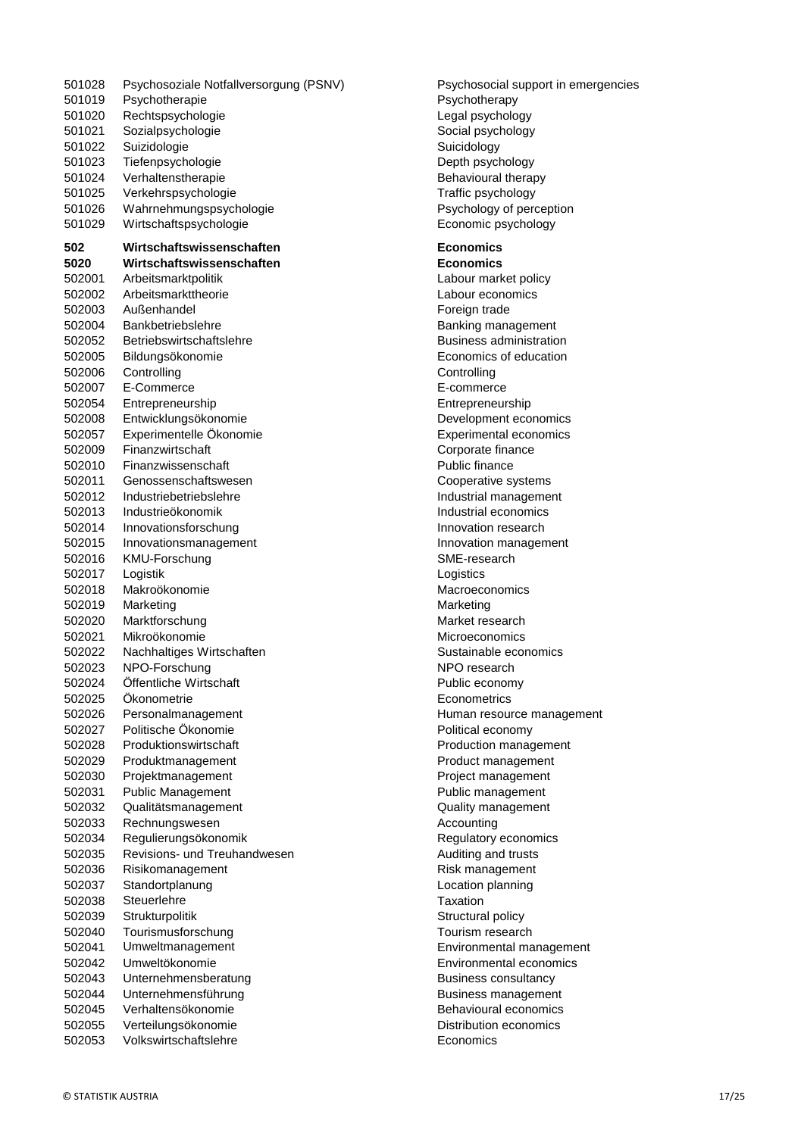| 501028 | Psychosoziale Notfallversorgung (PSNV)               | Psychosoci         |
|--------|------------------------------------------------------|--------------------|
| 501019 | Psychotherapie                                       | Psychother         |
| 501020 | Rechtspsychologie                                    | Legal psych        |
| 501021 | Sozialpsychologie                                    | Social psyc        |
| 501022 | Suizidologie                                         | Suicidology        |
| 501023 | Tiefenpsychologie                                    | Depth psyc         |
| 501024 | Verhaltenstherapie                                   | Behavioura         |
| 501025 | Verkehrspsychologie                                  | Traffic psyc       |
| 501026 | Wahrnehmungspsychologie                              | Psychology         |
| 501029 | Wirtschaftspsychologie                               | Economic p         |
| 502    | Wirtschaftswissenschaften                            | <b>Economics</b>   |
| 5020   | Wirtschaftswissenschaften                            | <b>Economics</b>   |
| 502001 | Arbeitsmarktpolitik                                  | Labour mar         |
| 502002 | Arbeitsmarkttheorie                                  | Labour eco         |
| 502003 | Außenhandel                                          | Foreign tra        |
| 502004 | Bankbetriebslehre                                    | Banking ma         |
| 502052 | Betriebswirtschaftslehre                             | Business a         |
| 502005 | Bildungsökonomie                                     | Economics          |
| 502006 | Controlling                                          | Controlling        |
| 502007 | E-Commerce                                           | E-commerc          |
| 502054 | Entrepreneurship                                     | Entreprene         |
| 502008 | Entwicklungsökonomie                                 | Developme          |
| 502057 | Experimentelle Ökonomie                              | Experiment         |
| 502009 | Finanzwirtschaft                                     | Corporate f        |
| 502010 | Finanzwissenschaft                                   | Public finar       |
| 502011 | Genossenschaftswesen                                 | Cooperative        |
| 502012 | Industriebetriebslehre                               | Industrial m       |
| 502013 | Industrieökonomik                                    | Industrial e       |
| 502014 | Innovationsforschung                                 | Innovation         |
| 502015 | Innovationsmanagement                                | Innovation I       |
| 502016 | KMU-Forschung                                        | SME-resea          |
| 502017 | Logistik                                             | Logistics          |
| 502018 | Makroökonomie                                        | Macroecon          |
| 502019 | Marketing                                            | Marketing          |
| 502020 | Marktforschung                                       | Market rese        |
| 502021 | Mikroökonomie                                        | Microeconc         |
| 502022 | Nachhaltiges Wirtschaften                            | Sustainable        |
| 502023 | NPO-Forschung                                        | NPO resea          |
| 502024 | Öffentliche Wirtschaft                               | Public ecor        |
| 502025 | Okonometrie                                          | Econometri         |
| 502026 | Personalmanagement                                   | Human res          |
| 502027 | Politische Ökonomie                                  | Political eco      |
| 502028 | Produktionswirtschaft                                | Production         |
| 502029 | Produktmanagement                                    | Product ma         |
| 502030 | Projektmanagement                                    | Project mar        |
| 502031 | <b>Public Management</b>                             | Public man         |
| 502032 | Qualitätsmanagement                                  | Quality mar        |
| 502033 | Rechnungswesen                                       | Accounting         |
| 502034 |                                                      | Regulatory         |
|        | Regulierungsökonomik<br>Revisions- und Treuhandwesen |                    |
| 502035 |                                                      | Auditing an        |
| 502036 | Risikomanagement                                     | Risk manag         |
| 502037 | Standortplanung                                      | Location pla       |
| 502038 | Steuerlehre                                          | Taxation           |
| 502039 | Strukturpolitik                                      | Structural p       |
| 502040 | Tourismusforschung                                   | Tourism res        |
| 502041 | Umweltmanagement                                     | Environmer         |
| 502042 | Umweltökonomie                                       | Environmer         |
| 502043 | Unternehmensberatung                                 | <b>Business co</b> |
| 502044 | Unternehmensführung                                  | Business m         |
| 502045 | Verhaltensökonomie                                   | Behavioura         |
| 502055 | Verteilungsökonomie                                  | Distribution       |
| 502053 | Volkswirtschaftslehre                                | Economics          |

(PSNV) Psychosocial support in emergencies Psychotherapy Legal psychology Social psychology Suicidology Depth psychology Behavioural therapy Traffic psychology Psychology of perception Economic psychology **502 Wirtschaftswissenschaften Economics 5020 Wirtschaftswissenschaften Economics** Labour market policy Labour economics Foreign trade Banking management Business administration Economics of education **Controlling** E-commerce 502054 Entrepreneurship Entrepreneurship Development economics Experimental economics Corporate finance Public finance Cooperative systems Industrial management Industrial economics Innovation research

Innovation management

Human resource management

SME-research Logistics

NPO research Public economy **Econometrics** 

Political economy Production management Product management Project management Public management Quality management

**Taxation** Structural policy Tourism research

Regulatory economics Auditing and trusts Risk management Location planning

Environmental management Environmental economics Business consultancy Business management Behavioural economics Distribution economics

Macroeconomics **Marketing** Market research Microeconomics Sustainable economics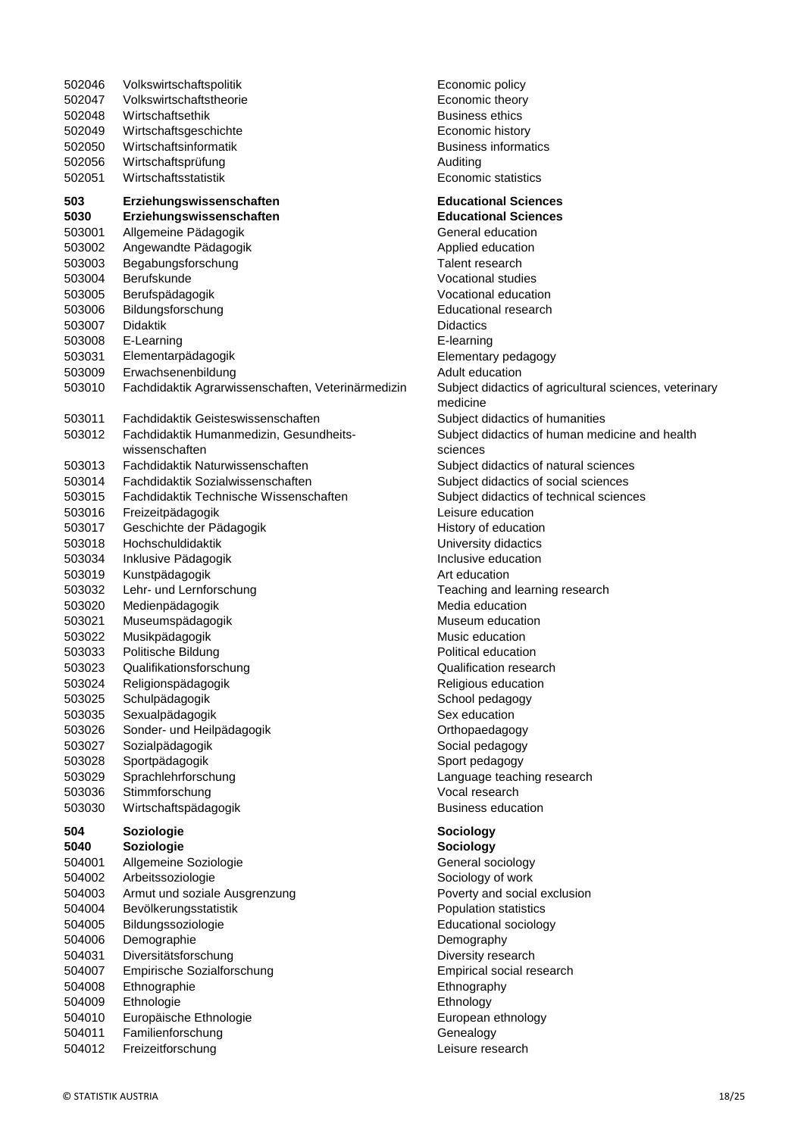| 502046           | Volkswirtschaftspolitik                            | Economic policy                             |
|------------------|----------------------------------------------------|---------------------------------------------|
| 502047           | Volkswirtschaftstheorie                            | Economic theory                             |
| 502048           | Wirtschaftsethik                                   | <b>Business ethics</b>                      |
| 502049           | Wirtschaftsgeschichte                              | Economic history                            |
| 502050           | Wirtschaftsinformatik                              | <b>Business informa</b>                     |
| 502056           | Wirtschaftsprüfung<br>Wirtschaftsstatistik         | Auditing<br>Economic statisti               |
| 502051           |                                                    |                                             |
| 503              | Erziehungswissenschaften                           | <b>Educational Sci</b>                      |
| 5030             | Erziehungswissenschaften                           | <b>Educational Scie</b>                     |
| 503001           | Allgemeine Pädagogik                               | General educatio                            |
| 503002           | Angewandte Pädagogik                               | Applied education                           |
| 503003<br>503004 | Begabungsforschung<br>Berufskunde                  | Talent research<br><b>Vocational studie</b> |
| 503005           | Berufspädagogik                                    | Vocational educa                            |
| 503006           | Bildungsforschung                                  | <b>Educational resea</b>                    |
| 503007           | Didaktik                                           | <b>Didactics</b>                            |
| 503008           | E-Learning                                         | E-learning                                  |
| 503031           | Elementarpädagogik                                 | Elementary peda                             |
| 503009           | Erwachsenenbildung                                 | Adult education                             |
| 503010           | Fachdidaktik Agrarwissenschaften, Veterinärmedizin | Subject didactics                           |
|                  |                                                    | medicine                                    |
| 503011           | Fachdidaktik Geisteswissenschaften                 | Subject didactics                           |
| 503012           | Fachdidaktik Humanmedizin, Gesundheits-            | Subject didactics                           |
|                  | wissenschaften                                     | sciences                                    |
| 503013           | Fachdidaktik Naturwissenschaften                   | Subject didactics                           |
| 503014           | Fachdidaktik Sozialwissenschaften                  | Subject didactics                           |
| 503015<br>503016 | Fachdidaktik Technische Wissenschaften             | Subject didactics<br>Leisure educatior      |
| 503017           | Freizeitpädagogik<br>Geschichte der Pädagogik      | History of educati                          |
| 503018           | Hochschuldidaktik                                  | University didacti                          |
| 503034           | Inklusive Pädagogik                                | Inclusive educatio                          |
| 503019           | Kunstpädagogik                                     | Art education                               |
| 503032           | Lehr- und Lernforschung                            | Teaching and lea                            |
| 503020           | Medienpädagogik                                    | Media education                             |
| 503021           | Museumspädagogik                                   | Museum educatio                             |
| 503022           | Musikpädagogik                                     | Music education                             |
| 503033           | Politische Bildung                                 | Political educatio                          |
| 503023           | Qualifikationsforschung                            | Qualification rese                          |
| 503024           | Religionspädagogik                                 | Religious educati                           |
| 503025           | Schulpädagogik                                     | School pedagogy                             |
| 503035           | Sexualpädagogik                                    | Sex education                               |
| 503026<br>503027 | Sonder- und Heilpädagogik<br>Sozialpädagogik       | Orthopaedagogy<br>Social pedagogy           |
| 503028           | Sportpädagogik                                     | Sport pedagogy                              |
| 503029           | Sprachlehrforschung                                | Language teachir                            |
| 503036           | Stimmforschung                                     | Vocal research                              |
| 503030           | Wirtschaftspädagogik                               | <b>Business educati</b>                     |
| 504              | Soziologie                                         | Sociology                                   |
| 5040             | Soziologie                                         | Sociology                                   |
| 504001           | Allgemeine Soziologie                              | General sociolog                            |
| 504002           | Arbeitssoziologie                                  | Sociology of work                           |
| 504003           | Armut und soziale Ausgrenzung                      | Poverty and socia                           |
| 504004           | Bevölkerungsstatistik                              | Population statist                          |
| 504005           | Bildungssoziologie                                 | <b>Educational socio</b>                    |
| 504006           | Demographie                                        | Demography                                  |
| 504031           | Diversitätsforschung                               | Diversity researcl                          |
| 504007<br>504008 | Empirische Sozialforschung                         | Empirical social r                          |
| 504009           | Ethnographie<br>Ethnologie                         | Ethnography<br>Ethnology                    |
| 504010           | Europäische Ethnologie                             | European ethnold                            |
| 504011           | Familienforschung                                  | Genealogy                                   |
| 504012           | Freizeitforschung                                  | Leisure research                            |
|                  |                                                    |                                             |

Economic theory Business ethics Economic history Business informatics Economic statistics **Educational Sciences 5030 Erziehungswissenschaften Educational Sciences** General education Applied education Talent research Vocational studies Vocational education Educational research **Didactics** E-learning Elementary pedagogy Adult education zin Subject didactics of agricultural sciences, veterinary medicine Subject didactics of humanities Subject didactics of human medicine and health sciences Subject didactics of natural sciences Subject didactics of social sciences Subject didactics of technical sciences Leisure education History of education University didactics Inclusive education Art education Teaching and learning research Media education Museum education Music education Political education Qualification research Religious education School pedagogy Sex education Orthopaedagogy Social pedagogy Sport pedagogy Language teaching research Vocal research Business education **504 Soziologie Sociology**

Economic policy

#### **5040 Soziologie Sociology**

General sociology Sociology of work Poverty and social exclusion Population statistics Educational sociology **Demography** Diversity research Empirical social research **Ethnography Ethnology** European ethnology **Genealogy**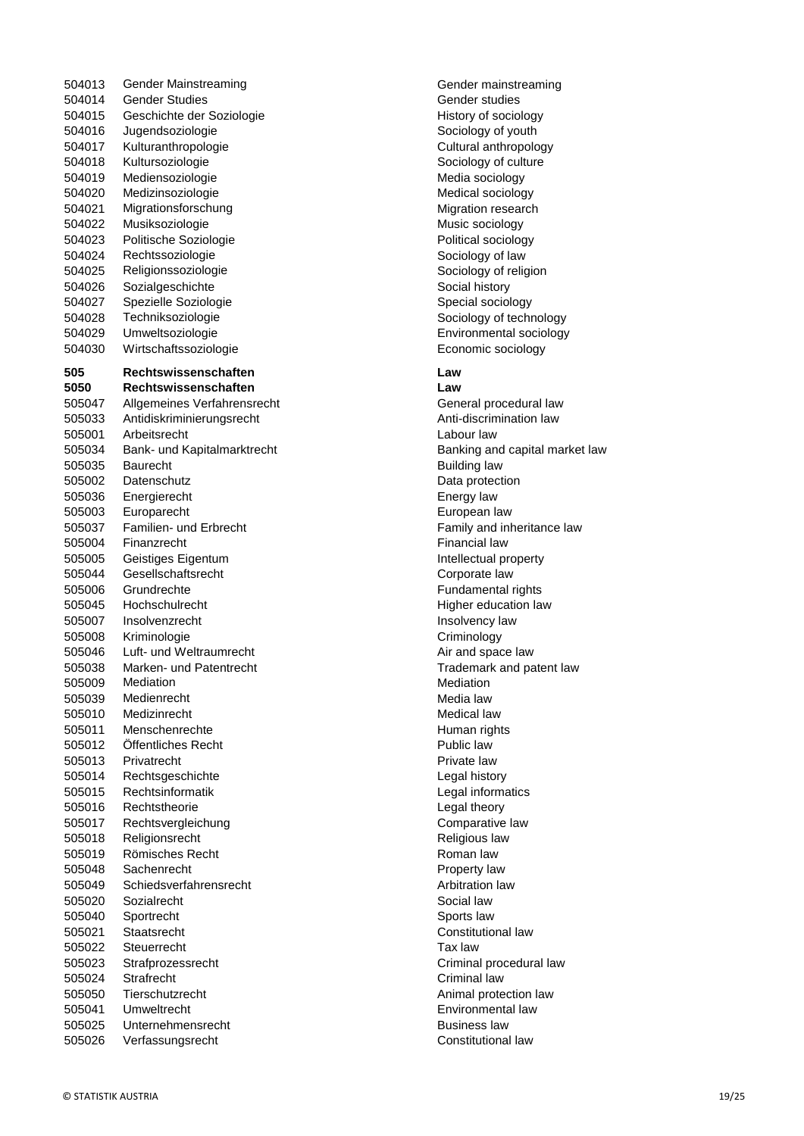504013 Gender Mainstreaming Communication Communication Cender mainstreaming 504014 Gender Studies<br>
504015 Geschichte der Soziologie<br>
Gender studies Geschichte der Soziologie 504015 Geschichte der Soziologie 504016 Jugendsoziologie Sociology of youth 504017 Kulturanthropologie Cultural anthropology Cultural anthropology 504018 Kultursoziologie Sociology of culture 504019 Mediensoziologie Media sociology Media sociology 504020 Medizinsoziologie Medical sociology 504021 Migrationsforschung Migration Formulation research 504022 Musiksoziologie Music sociology 504023 Politische Soziologie entrance entrance Political sociology 504024 Rechtssoziologie Sociology of law 504025 Religionssoziologie Sociology of religion 504026 Sozialgeschichte Social history 504027 Spezielle Soziologie Suite Schoology Special sociology 504028 Techniksoziologie Sociology of technology 504029 Umweltsoziologie Environmental sociology 504030 Wirtschaftssoziologie Economic sociology **505 Rechtswissenschaften Law 5050 Rechtswissenschaften Law** 505047 Allgemeines Verfahrensrecht General procedural law 505033 Antidiskriminierungsrecht Anti-discrimination law 505001 Arbeitsrecht Labour law 505034 Bank- und Kapitalmarktrecht Banking and capital market law 505035 Baurecht Building law 505002 Datenschutz Data protection 505036 Energierecht Energy law 505003 Europarecht European law 505037 Familien- und Erbrecht Family and inheritance law 505004 Finanzrecht **Financial law** 505005 Geistiges Eigentum Intellectual property 505044 Gesellschaftsrecht Corporate law 505006 Grundrechte Fundamental rights Fundamental rights 505045 Hochschulrecht Higher education law 505007 Insolvenzrecht Insolvency law 505008 Kriminologie Criminology Criminology 505046 Luft- und Weltraumrecht **Air and space law** Air and space law 505038 Marken- und Patentrecht Trademark and patent law 505009 Mediation **Mediation** Mediation 505039 Medienrecht Media law 505010 Medizinrecht Medical law Medical law 505011 Menschenrechte Human rights 505012 Öffentliches Recht Public law 505013 Privatrecht **Private law** 505014 Rechtsgeschichte Legal history 505015 Rechtsinformatik Legal informatics 505016 Rechtstheorie Legal theory 505017 Rechtsvergleichung Comparative law Comparative law Comparative law Comparative law Comparative law Comparative law Comparative law Comparative law Comparative law Comparative law Comparative law Comparative law Comp Religionsrecht Religious law 505019 Römisches Recht Roman law 505048 Sachenrecht Property law 505049 Schiedsverfahrensrecht Arbitration law 505020 Sozialrecht Social law Social law 505040 Sportrecht Sports law 505021 Staatsrecht Constitutional law 505022 Steuerrecht Tax law 505023 Strafprozessrecht Criminal procedural law 505024 Strafrecht Criminal law 505050 Tierschutzrecht Animal protection law 505041 Umweltrecht Environmental law 505025 Unternehmensrecht Business law 505026 Verfassungsrecht Constitutional law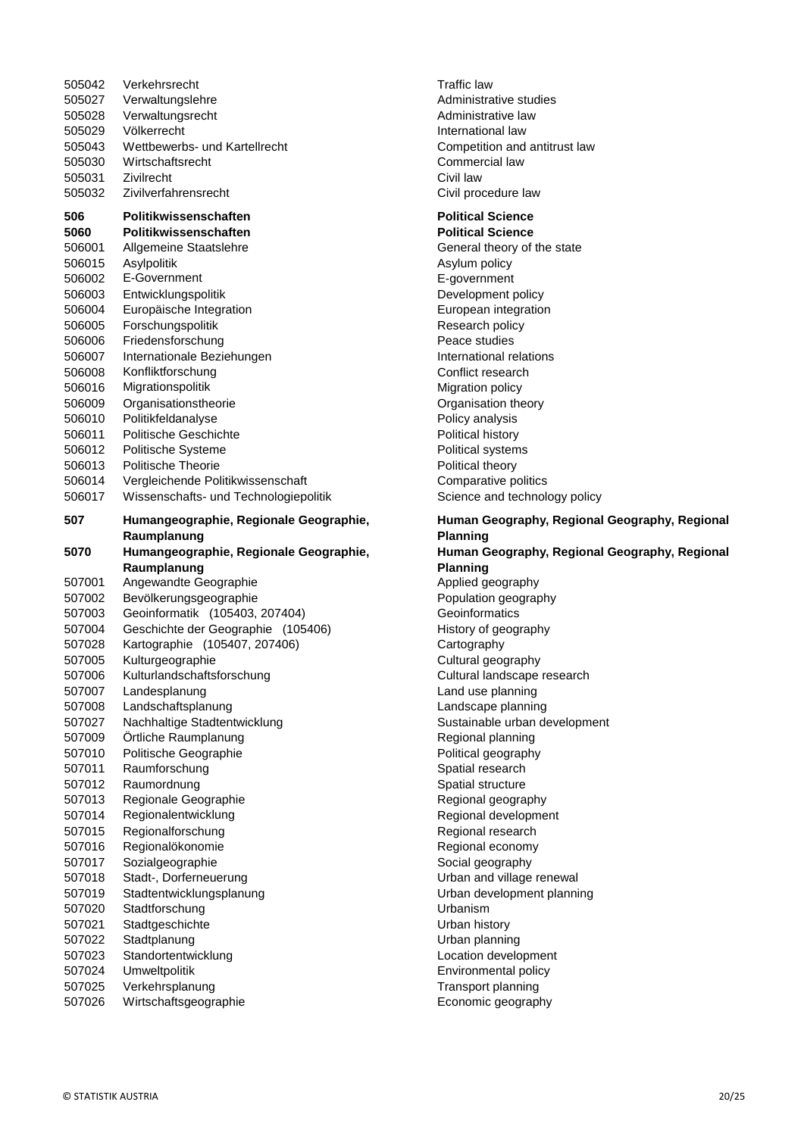| 505042<br>505027<br>505028<br>505029<br>505043<br>505030<br>505031<br>505032                                                                                                          | Verkehrsrecht<br>Verwaltungslehre<br>Verwaltungsrecht<br>Völkerrecht<br>Wettbewerbs- und Kartellrecht<br>Wirtschaftsrecht<br>Zivilrecht<br>Zivilverfahrensrecht                                                                                                                                                                                                                                                                                                                     | <b>Traffic law</b><br>Administra<br>Administra<br>Internation<br>Competitio<br>Commerci<br>Civil law<br>Civil proce                                                                                                                                                                |
|---------------------------------------------------------------------------------------------------------------------------------------------------------------------------------------|-------------------------------------------------------------------------------------------------------------------------------------------------------------------------------------------------------------------------------------------------------------------------------------------------------------------------------------------------------------------------------------------------------------------------------------------------------------------------------------|------------------------------------------------------------------------------------------------------------------------------------------------------------------------------------------------------------------------------------------------------------------------------------|
|                                                                                                                                                                                       |                                                                                                                                                                                                                                                                                                                                                                                                                                                                                     |                                                                                                                                                                                                                                                                                    |
| 506<br>5060<br>506001<br>506015<br>506002<br>506003<br>506004<br>506005<br>506006<br>506007<br>506008<br>506016<br>506009<br>506010<br>506011<br>506012<br>506013<br>506014<br>506017 | Politikwissenschaften<br>Politikwissenschaften<br>Allgemeine Staatslehre<br>Asylpolitik<br>E-Government<br>Entwicklungspolitik<br>Europäische Integration<br>Forschungspolitik<br>Friedensforschung<br>Internationale Beziehungen<br>Konfliktforschung<br>Migrationspolitik<br>Organisationstheorie<br>Politikfeldanalyse<br>Politische Geschichte<br>Politische Systeme<br><b>Politische Theorie</b><br>Vergleichende Politikwissenschaft<br>Wissenschafts- und Technologiepolitik | <b>Political S</b><br><b>Political S</b><br>General th<br>Asylum po<br>E-governn<br>Developm<br>European<br>Research<br>Peace stu<br>Internation<br>Conflict re<br>Migration<br>Organisati<br>Policy ana<br>Political hi<br>Political sy<br>Political th<br>Comparati<br>Science a |
| 507                                                                                                                                                                                   | Humangeographie, Regionale Geographie,                                                                                                                                                                                                                                                                                                                                                                                                                                              | Human G                                                                                                                                                                                                                                                                            |
|                                                                                                                                                                                       | Raumplanung                                                                                                                                                                                                                                                                                                                                                                                                                                                                         | <b>Planning</b>                                                                                                                                                                                                                                                                    |
| 5070                                                                                                                                                                                  | Humangeographie, Regionale Geographie,                                                                                                                                                                                                                                                                                                                                                                                                                                              | <b>Human G</b>                                                                                                                                                                                                                                                                     |
|                                                                                                                                                                                       | Raumplanung                                                                                                                                                                                                                                                                                                                                                                                                                                                                         | <b>Planning</b>                                                                                                                                                                                                                                                                    |
| 507001                                                                                                                                                                                | Angewandte Geographie                                                                                                                                                                                                                                                                                                                                                                                                                                                               | Applied ge                                                                                                                                                                                                                                                                         |
| 507002                                                                                                                                                                                | Bevölkerungsgeographie                                                                                                                                                                                                                                                                                                                                                                                                                                                              | Population                                                                                                                                                                                                                                                                         |
| 507003                                                                                                                                                                                | Geoinformatik (105403, 207404)                                                                                                                                                                                                                                                                                                                                                                                                                                                      | Geoinform                                                                                                                                                                                                                                                                          |
| 507004                                                                                                                                                                                | Geschichte der Geographie (105406)                                                                                                                                                                                                                                                                                                                                                                                                                                                  | History of                                                                                                                                                                                                                                                                         |
| 507028<br>507005                                                                                                                                                                      | Kartographie (105407, 207406)<br>Kulturgeographie                                                                                                                                                                                                                                                                                                                                                                                                                                   | Cartograp<br>Cultural ge                                                                                                                                                                                                                                                           |
| 507006                                                                                                                                                                                | Kulturlandschaftsforschung                                                                                                                                                                                                                                                                                                                                                                                                                                                          | Cultural la                                                                                                                                                                                                                                                                        |
| 507007                                                                                                                                                                                | Landesplanung                                                                                                                                                                                                                                                                                                                                                                                                                                                                       | Land use                                                                                                                                                                                                                                                                           |
| 507008                                                                                                                                                                                | Landschaftsplanung                                                                                                                                                                                                                                                                                                                                                                                                                                                                  | Landscap                                                                                                                                                                                                                                                                           |
| 507027                                                                                                                                                                                | Nachhaltige Stadtentwicklung                                                                                                                                                                                                                                                                                                                                                                                                                                                        | Sustainab                                                                                                                                                                                                                                                                          |
| 507009                                                                                                                                                                                | Örtliche Raumplanung                                                                                                                                                                                                                                                                                                                                                                                                                                                                | Regional p                                                                                                                                                                                                                                                                         |
| 507010                                                                                                                                                                                | Politische Geographie                                                                                                                                                                                                                                                                                                                                                                                                                                                               | Political ge                                                                                                                                                                                                                                                                       |
| 507011                                                                                                                                                                                | Raumforschung                                                                                                                                                                                                                                                                                                                                                                                                                                                                       | Spatial res                                                                                                                                                                                                                                                                        |
| 507012                                                                                                                                                                                | Raumordnung                                                                                                                                                                                                                                                                                                                                                                                                                                                                         | Spatial str                                                                                                                                                                                                                                                                        |
| 507013                                                                                                                                                                                | Regionale Geographie                                                                                                                                                                                                                                                                                                                                                                                                                                                                | Regional o                                                                                                                                                                                                                                                                         |
| 507014                                                                                                                                                                                | Regionalentwicklung                                                                                                                                                                                                                                                                                                                                                                                                                                                                 | Regional o                                                                                                                                                                                                                                                                         |
| 507015                                                                                                                                                                                | Regionalforschung                                                                                                                                                                                                                                                                                                                                                                                                                                                                   | Regional r                                                                                                                                                                                                                                                                         |
| 507016                                                                                                                                                                                | Regionalökonomie                                                                                                                                                                                                                                                                                                                                                                                                                                                                    | Regional e                                                                                                                                                                                                                                                                         |
| 507017                                                                                                                                                                                | Sozialgeographie                                                                                                                                                                                                                                                                                                                                                                                                                                                                    | Social geo                                                                                                                                                                                                                                                                         |
| 507018                                                                                                                                                                                | Stadt-, Dorferneuerung                                                                                                                                                                                                                                                                                                                                                                                                                                                              | Urban and                                                                                                                                                                                                                                                                          |
| 507019                                                                                                                                                                                | Stadtentwicklungsplanung                                                                                                                                                                                                                                                                                                                                                                                                                                                            | Urban dev                                                                                                                                                                                                                                                                          |
| 507020<br>507021                                                                                                                                                                      |                                                                                                                                                                                                                                                                                                                                                                                                                                                                                     |                                                                                                                                                                                                                                                                                    |
|                                                                                                                                                                                       | Stadtforschung                                                                                                                                                                                                                                                                                                                                                                                                                                                                      | <b>Urbanism</b>                                                                                                                                                                                                                                                                    |
|                                                                                                                                                                                       | Stadtgeschichte                                                                                                                                                                                                                                                                                                                                                                                                                                                                     | Urban hist                                                                                                                                                                                                                                                                         |
| 507022                                                                                                                                                                                | Stadtplanung                                                                                                                                                                                                                                                                                                                                                                                                                                                                        | Urban pla                                                                                                                                                                                                                                                                          |
| 507023                                                                                                                                                                                | Standortentwicklung                                                                                                                                                                                                                                                                                                                                                                                                                                                                 | Location c                                                                                                                                                                                                                                                                         |
| 507024<br>507025                                                                                                                                                                      | Umweltpolitik<br>Verkehrsplanung                                                                                                                                                                                                                                                                                                                                                                                                                                                    | Environme<br>Transport                                                                                                                                                                                                                                                             |

Administrative studies Administrative law International law Competition and antitrust law Commercial law Civil procedure law

#### **Political Science Political Science** General theory of the state Asylum policy E-government Development policy European integration Research policy Peace studies International relations Conflict research **Migration policy** Organisation theory Policy analysis Political history

Political systems Political theory

Comparative politics Science and technology policy **Human Geography, Regional Geography, Regional Planning Human Geography, Regional Geography, Regional Planning** Applied geography Population geography Geoinformatics History of geography Cartography Cultural geography Cultural landscape research Land use planning Landscape planning Sustainable urban development Regional planning Political geography Spatial research Spatial structure Regional geography Regional development Regional research Regional economy Social geography Urban and village renewal Urban development planning Urbanism Urban history Urban planning Location development Environmental policy Transport planning 507026 Wirtschaftsgeographie Economic geography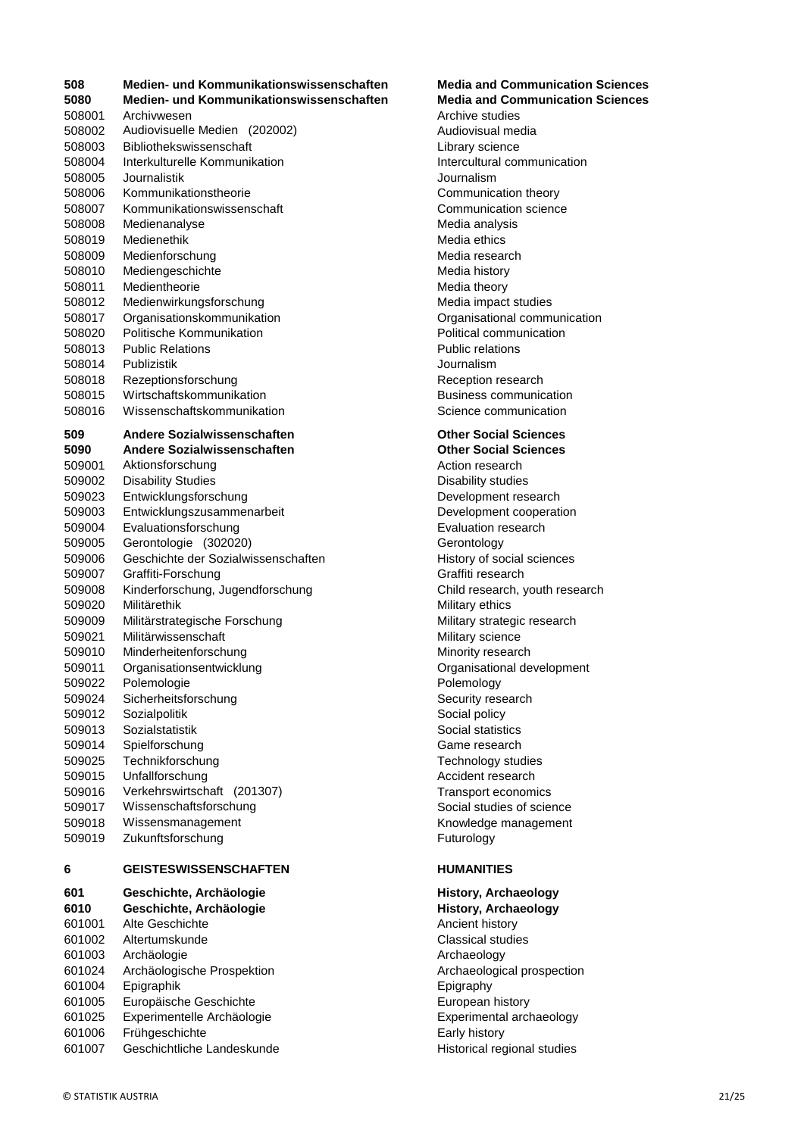| 508              | Medien- und Kommunikationswissenschaften | <b>Media and C</b>        |
|------------------|------------------------------------------|---------------------------|
| 5080             | Medien- und Kommunikationswissenschaften | <b>Media and C</b>        |
| 508001           | Archivwesen                              | Archive studi             |
| 508002           | Audiovisuelle Medien (202002)            | Audiovisual r             |
| 508003           | Bibliothekswissenschaft                  | Library scien             |
| 508004           | Interkulturelle Kommunikation            | Intercultural             |
| 508005           | Journalistik                             | Journalism                |
| 508006           | Kommunikationstheorie                    | Communicat                |
| 508007           | Kommunikationswissenschaft               | Communicat                |
| 508008           | Medienanalyse                            | Media analys              |
| 508019           | Medienethik                              | Media ethics              |
| 508009           | Medienforschung                          | Media resear              |
| 508010           | Mediengeschichte                         | Media history             |
| 508011           | Medientheorie                            | Media theory              |
| 508012           | Medienwirkungsforschung                  | Media impac               |
| 508017           | Organisationskommunikation               | Organisation              |
| 508020           | Politische Kommunikation                 | Political com             |
| 508013           | <b>Public Relations</b>                  | Public relatio            |
|                  | Publizistik                              | Journalism                |
| 508014           |                                          |                           |
| 508018           | Rezeptionsforschung                      | Reception re              |
| 508015           | Wirtschaftskommunikation                 | <b>Business cor</b>       |
| 508016           | Wissenschaftskommunikation               | Science com               |
| 509              | Andere Sozialwissenschaften              | <b>Other Social</b>       |
| 5090             | Andere Sozialwissenschaften              | <b>Other Social</b>       |
| 509001           | Aktionsforschung                         | Action resea              |
| 509002           | <b>Disability Studies</b>                | Disability stu            |
| 509023           | Entwicklungsforschung                    | Developmen <sup>®</sup>   |
| 509003           | Entwicklungszusammenarbeit               | Developmen <sup>®</sup>   |
| 509004           | Evaluationsforschung                     | Evaluation re             |
| 509005           | Gerontologie (302020)                    | Gerontology               |
| 509006           | Geschichte der Sozialwissenschaften      | History of so             |
| 509007           | Graffiti-Forschung                       | Graffiti resea            |
| 509008           | Kinderforschung, Jugendforschung         | Child researd             |
| 509020           | Militärethik                             | Military ethics           |
| 509009           | Militärstrategische Forschung            | Military strate           |
| 509021           | Militärwissenschaft                      | Military scien            |
| 509010           | Minderheitenforschung                    | Minority rese             |
| 509011           | Organisationsentwicklung                 | Organisation              |
| 509022           | Polemologie                              | Polemology                |
| 509024           | Sicherheitsforschung                     | Security rese             |
| 509012           | Sozialpolitik                            | Social policy             |
| 509013           | Sozialstatistik                          | Social statist            |
| 509014           | Spielforschung                           | Game resear               |
| 509025           | Technikforschung                         | Technology s              |
| 509015           | Unfallforschung                          | Accident rese             |
| 509016           | Verkehrswirtschaft (201307)              | Transport ec              |
|                  | Wissenschaftsforschung                   |                           |
| 509017           |                                          | Social studie             |
| 509018<br>509019 | Wissensmanagement<br>Zukunftsforschung   | Knowledge n<br>Futurology |
|                  |                                          |                           |
| 6                | <b>GEISTESWISSENSCHAFTEN</b>             | <b>HUMANITIES</b>         |
| 601              | Geschichte, Archäologie                  | History, Arcl             |
| 6010             | Geschichte, Archäologie                  | <b>History, Arc</b>       |
| 601001           | Alte Geschichte                          | Ancient histo             |
| 601002           | Altertumskunde                           | Classical stu             |
| 601003           | Archäologie                              | Archaeology               |
| 601024           | Archäologische Prospektion               | Archaeologic              |
| 601004           | Epigraphik                               | Epigraphy                 |
| 601005           | Europäische Geschichte                   | European his              |
| 601025           | Experimentelle Archäologie               | Experimental              |
| 601006           | Frühgeschichte                           | Early history             |
|                  |                                          |                           |

## 601007 Geschichtliche Landeskunde Historical regional studies

#### **508 Medien- und Kommunikationswissenschaften Media and Communication Sciences Media and Communication Sciences**

Archive studies Audiovisual media Library science Intercultural communication **Journalism** Communication theory Communication science Media analysis Media ethics Media research Media history Media theory Media impact studies Organisational communication Political communication Public relations 508014 Publizistik Journalism Reception research Business communication Science communication

### **Other Social Sciences**

**Other Social Sciences** Action research Disability studies Development research Development cooperation Evaluation research Gerontology History of social sciences Graffiti research Child research, youth research Military ethics Military strategic research Military science Minority research Organisational development Polemology Security research Social policy Social statistics Game research Technology studies Accident research Transport economics Social studies of science Knowledge management **Futurology** 

### **6 GEISTESWISSENSCHAFTEN HUMANITIES**

## **History, Archaeology History, Archaeology** Ancient history **Classical studies** Archaeology Archaeological prospection **Epigraphy** European history Experimental archaeology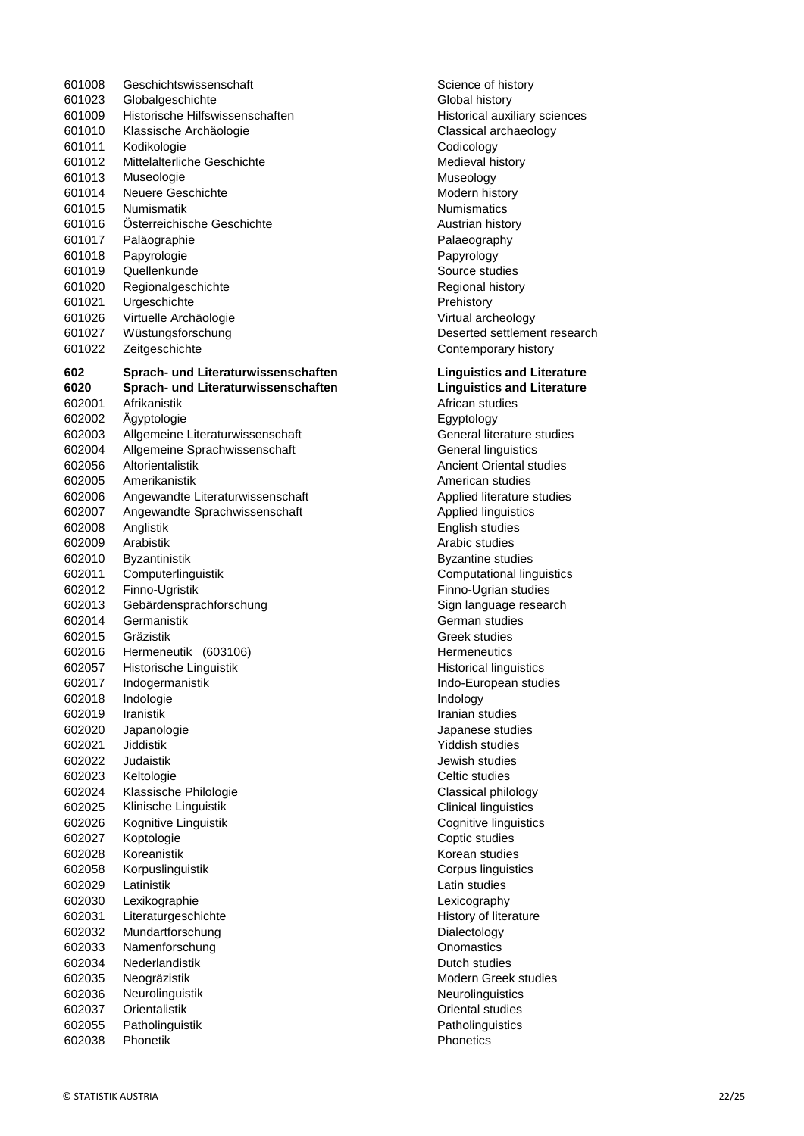601008 Geschichtswissenschaft Science of history Science of history 601023 Globalgeschichte Global history 601009 Historische Hilfswissenschaften Historical auxiliary sciences 601010 Klassische Archäologie Classical archaeology 601011 Kodikologie Codicology 601012 Mittelalterliche Geschichte Medieval history 601013 Museologie **Museology** Museology 601014 Neuere Geschichte Modern history Modern history 601015 Numismatik **Numismatics** Numismatics 601016 Österreichische Geschichte **Austrian Geschichte** Austrian history 601017 Paläographie Palaeography 601018 Papyrologie **Papyrology** 601019 Quellenkunde Source studies 601020 Regionalgeschichte Regional history 601021 Urgeschichte **Prehistory** Prehistory 601026 Virtuelle Archäologie Virtual archeology 601027 Wüstungsforschung Deserted settlement research 601022 Zeitgeschichte Contemporary history **602 Sprach- und Literaturwissenschaften Linguistics and Literature 6020 Sprach- und Literaturwissenschaften Linguistics and Literature** 602001 Afrikanistik African studies 602002 Ägyptologie Egyptology 602003 Allgemeine Literaturwissenschaft General literature studies 602004 Allgemeine Sprachwissenschaft General linguistics 602056 Altorientalistik Ancient Oriental studies 602005 Amerikanistik American studies 602006 Angewandte Literaturwissenschaft Applied literature studies 602007 Angewandte Sprachwissenschaft **Applied Inquistics** Applied linguistics 602008 Anglistik English studies 602009 Arabistik Arabic studies 602010 Byzantinistik Byzantine studies 602011 Computerlinguistik Computational linguistics 602012 Finno-Ugristik Finno-Ugrian studies 602013 Gebärdensprachforschung Sign language research 602014 Germanistik German studies 602015 Gräzistik Greek studies 602016 Hermeneutik (603106) **Hermeneutics** Hermeneutics 602057 Historische Linguistik Historical Inguistics Historical linguistics 602017 Indogermanistik Indo-European studies 602018 Indologie **Indology** 602019 Iranistik Iranian studies 602020 Japanologie Japanese studies 602021 Jiddistik Yiddish studies 602022 Judaistik Jewish studies 602023 Keltologie Celtic studies 602024 Klassische Philologie Classical philology 602025 Klinische Linguistik Clinical linguistics 602026 Kognitive Linguistik Cognitive linguistics 602027 Koptologie Coptic studies 602028 Koreanistik Korean studies 602058 Korpuslinguistik Corpus linguistics 602029 Latinistik Latin studies 602030 Lexikographie Lexicography 602031 Literaturgeschichte History of literature History of literature 602032 Mundartforschung Dialectology 602033 Namenforschung Communication Christian Christian Christian Christian Christian Christian Christian Christian 602034 Nederlandistik Dutch studies 602035 Neogräzistik Modern Greek studies 602036 Neurolinguistik Neurolinguistics 602037 Orientalistik Oriental studies 602055 Patholinguistik Patholinguistics 602038 Phonetik **Phonetics**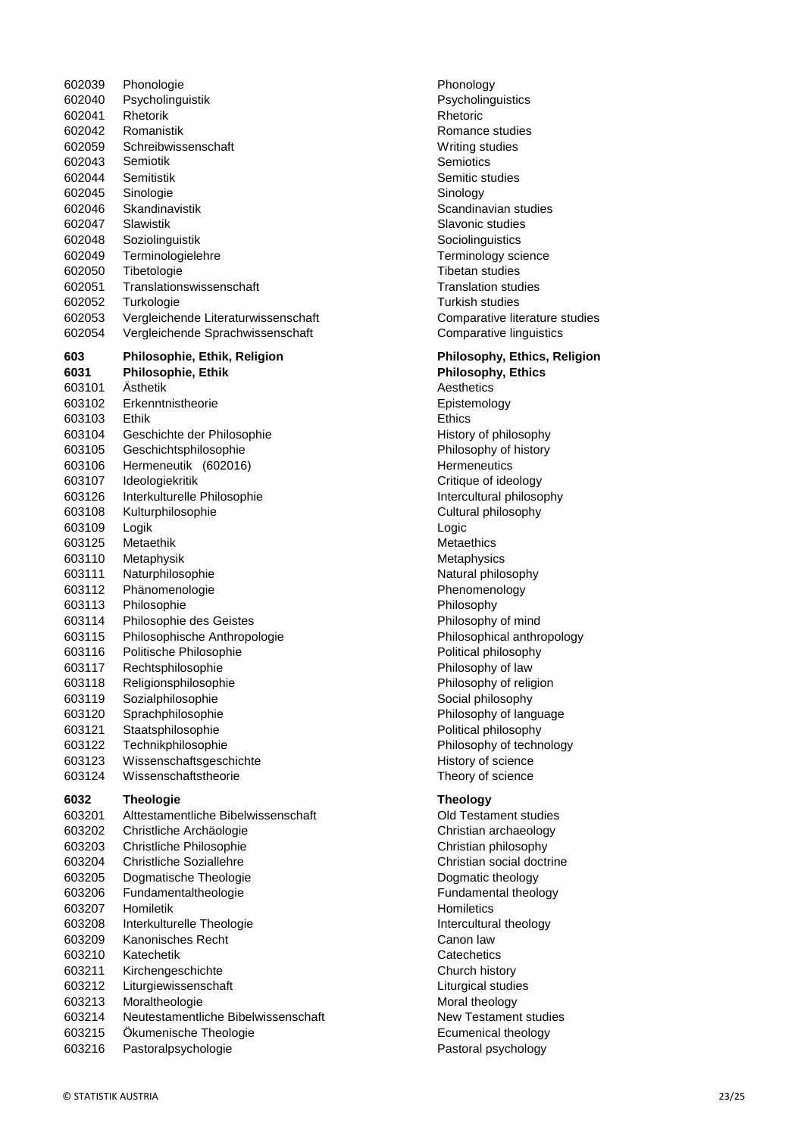Phonologie Phonology Psycholinguistik Psycholinguistics 602041 Rhetorik Rhetoric Rhetoric Rhetoric Rhetoric Romanistik Romance studies 602059 Schreibwissenschaft Writing studies 602043 Semiotik Semiotics Semitistik Semitic studies 602045 Sinologie Sinology Skandinavistik Scandinavian studies Slawistik Slavonic studies Soziolinguistik Sociolinguistics Terminologielehre Terminology science Tibetologie Tibetan studies Translationswissenschaft Translation studies Turkologie Turkish studies Vergleichende Literaturwissenschaft Comparative literature studies Vergleichende Sprachwissenschaft Comparative linguistics **Philosophie, Ethik, Religion Philosophy, Ethics, Religion Philosophie, Ethik Philosophy, Ethics** Ästhetik Aesthetics Erkenntnistheorie Epistemology 603103 Ethik Ethics 603104 Geschichte der Philosophie History of philosophy Geschichtsphilosophie Philosophy of history 603106 Hermeneutik (602016) **Hermeneutics** Hermeneutics Ideologiekritik Critique of ideology Interkulturelle Philosophie Intercultural philosophy Kulturphilosophie Cultural philosophy Logik Logic 603125 Metaethik Metaethics 603110 Metaphysik metaphysics and the metaphysics of the metaphysics of the metaphysics of the metaphysics of the metaphysics of the metaphysics of the metaphysics of the metaphysics of the metaphysics of the metaphysics o 603111 Naturphilosophie Natural philosophy 603112 Phänomenologie **Phanomenology** Phenomenology 603113 Philosophie **Philosophie** Philosophy Philosophie des Geistes Philosophy of mind Philosophische Anthropologie Philosophical anthropology Politische Philosophie Political philosophy Rechtsphilosophie Philosophy of law Religionsphilosophie Philosophy of religion 603119 Sozialphilosophie Social philosophy Sprachphilosophie Philosophy of language 603121 Staatsphilosophie **Example 2018** Political philosophy Technikphilosophie Philosophy of technology 603123 Wissenschaftsgeschichte History of science Wissenschaftstheorie Theory of science **Theologie Theology** Alttestamentliche Bibelwissenschaft Old Testament studies Christliche Archäologie Christian archaeology Christliche Philosophie Christian philosophy 603204 Christliche Soziallehre Christian social doctrine Dogmatische Theologie Dogmatic theology Fundamentaltheologie Fundamental theology 603207 Homiletik Homiletics Interkulturelle Theologie Intercultural theology Kanonisches Recht Canon law 603210 Katechetik Catechetics Catechetics Catechetics Kirchengeschichte Church history 603212 Liturgiewissenschaft Liturgical studies 603213 Moraltheologie methods and theology 603214 Neutestamentliche Bibelwissenschaft New Testament studies Ökumenische Theologie Ecumenical theology Pastoralpsychologie Pastoral psychology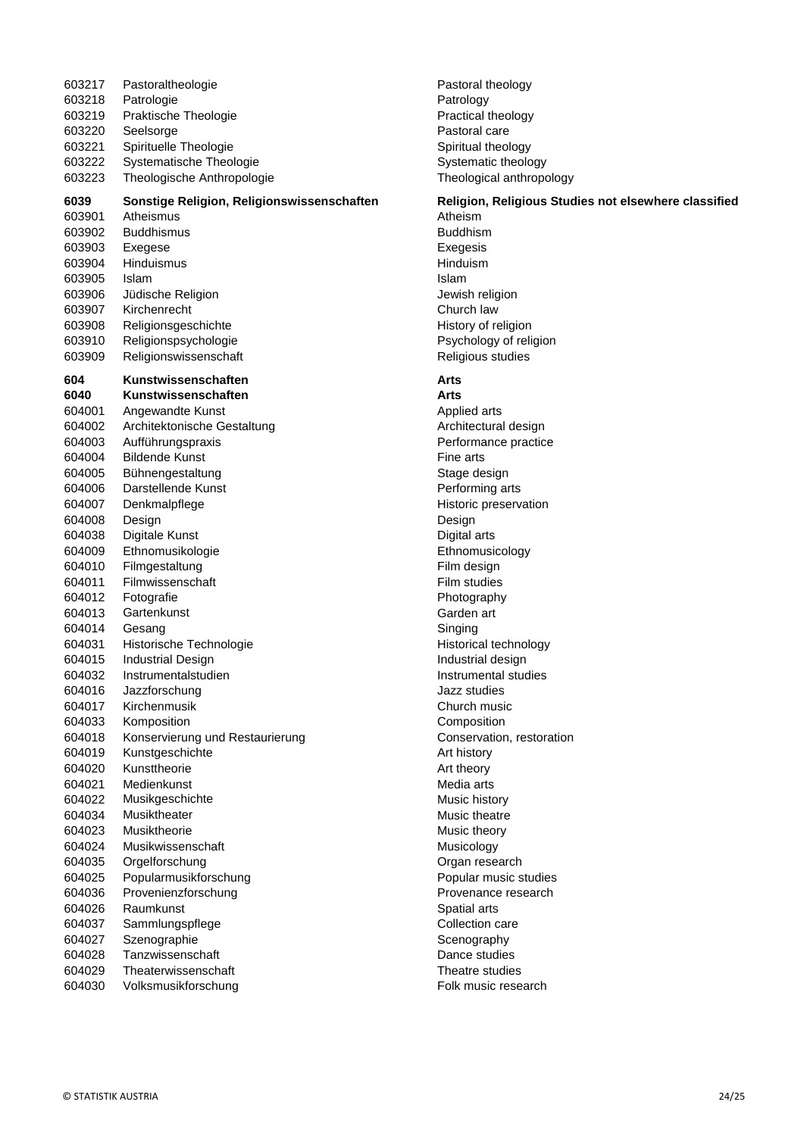| 603217 | Pastoraltheologie                          | Pastoral tl     |
|--------|--------------------------------------------|-----------------|
| 603218 | Patrologie                                 | Patrology       |
| 603219 | Praktische Theologie                       | Practical t     |
| 603220 | Seelsorge                                  | Pastoral c      |
| 603221 | Spirituelle Theologie                      | Spiritual tl    |
| 603222 | Systematische Theologie                    | Systemati       |
| 603223 | Theologische Anthropologie                 | Theologic       |
| 6039   | Sonstige Religion, Religionswissenschaften | Religion,       |
| 603901 | Atheismus                                  | Atheism         |
| 603902 | <b>Buddhismus</b>                          | <b>Buddhism</b> |
| 603903 | Exegese                                    | Exegesis        |
| 603904 | <b>Hinduismus</b>                          | Hinduism        |
| 603905 | Islam                                      | Islam           |
| 603906 | Jüdische Religion                          | Jewish rel      |
| 603907 | Kirchenrecht                               | Church la       |
| 603908 | Religionsgeschichte                        | History of      |
| 603910 | Religionspsychologie                       | Psycholog       |
| 603909 | Religionswissenschaft                      | Religious       |
| 604    | Kunstwissenschaften                        | Arts            |
| 6040   | Kunstwissenschaften                        | Arts            |
| 604001 | Angewandte Kunst                           | Applied ar      |
| 604002 | Architektonische Gestaltung                | Architectu      |
| 604003 | Aufführungspraxis                          | Performar       |
| 604004 | <b>Bildende Kunst</b>                      | Fine arts       |
| 604005 | Bühnengestaltung                           | Stage des       |
| 604006 | Darstellende Kunst                         | Performin       |
| 604007 | Denkmalpflege                              | Historic pr     |
| 604008 | Design                                     | Design          |
| 604038 | Digitale Kunst                             | Digital arts    |
| 604009 | Ethnomusikologie                           | Ethnomus        |
| 604010 | Filmgestaltung                             | Film desig      |
| 604011 | Filmwissenschaft                           | Film studi      |
| 604012 | Fotografie                                 | Photograp       |
| 604013 | Gartenkunst                                | Garden ar       |
| 604014 | Gesang                                     | Singing         |
| 604031 | Historische Technologie                    | Historical      |
| 604015 | <b>Industrial Design</b>                   | Industrial      |
| 604032 | Instrumentalstudien                        | Instrumen       |
| 604016 | Jazzforschung                              | Jazz studi      |
| 604017 | Kirchenmusik                               | Church m        |
| 604033 | Komposition                                | Compositi       |
| 604018 | Konservierung und Restaurierung            | Conservat       |
| 604019 | Kunstgeschichte                            | Art history     |
| 604020 | Kunsttheorie                               | Art theory      |
| 604021 | Medienkunst                                | Media arts      |
| 604022 | Musikgeschichte                            | Music hist      |
| 604034 | Musiktheater                               | Music the       |
| 604023 | Musiktheorie                               | Music the       |
| 604024 | Musikwissenschaft                          | Musicolog       |
| 604035 | Orgelforschung                             | Organ res       |
| 604025 | Popularmusikforschung                      | Popular m       |
| 604036 | Provenienzforschung                        | Provenan        |
| 604026 | Raumkunst                                  | Spatial art     |
| 604037 | Sammlungspflege                            | Collection      |
| 604027 | Szenographie                               | Scenogra        |
| 604028 | Tanzwissenschaft                           | Dance stu       |
| 604029 | Theaterwissenschaft                        | Theatre st      |
| 604030 | Volksmusikforschung                        | Folk musi       |

Pastoral theology Patrology Practical theology Pastoral care Spiritual theology Systematic theology Theological anthropology

# **6 haften Religion, Religious Studies not elsewhere classified** Exegesis<br>Hinduism Jewish religion Church law History of religion Psychology of religion Religious studies Applied arts Architectural design

Performance practice Fine arts Stage design Performing arts Historic preservation Digital arts Ethnomusicology Film design Film studies Photography Garden art Historical technology Industrial design Instrumental studies Jazz studies Church music **Composition** Conservation, restoration Art history Art theory Media arts Music history Music theatre Music theory Musicology Organ research Popular music studies Provenance research Spatial arts Collection care Scenography Dance studies Theatre studies Folk music research